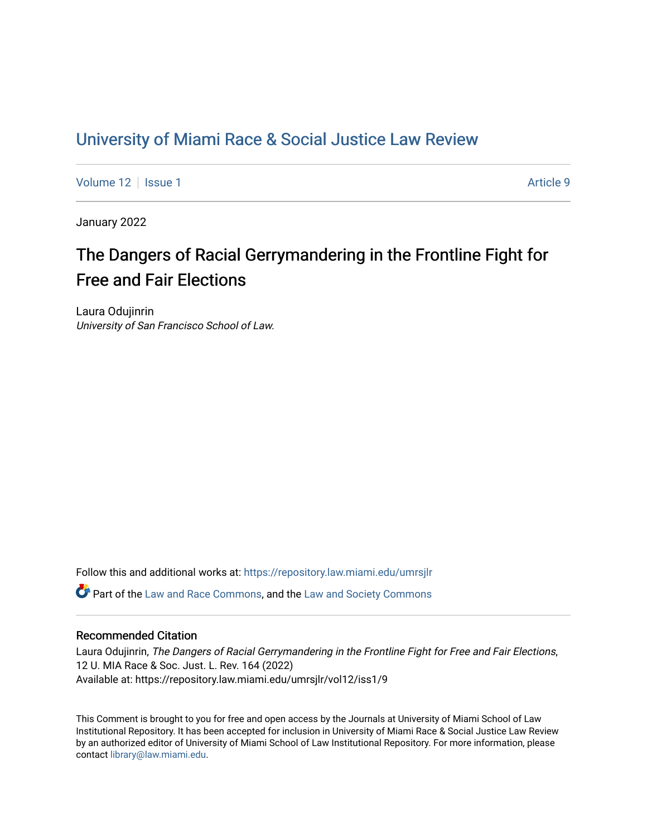# [University of Miami Race & Social Justice Law Review](https://repository.law.miami.edu/umrsjlr)

[Volume 12](https://repository.law.miami.edu/umrsjlr/vol12) | [Issue 1](https://repository.law.miami.edu/umrsjlr/vol12/iss1) Article 9

January 2022

# The Dangers of Racial Gerrymandering in the Frontline Fight for Free and Fair Elections

Laura Odujinrin University of San Francisco School of Law.

Follow this and additional works at: [https://repository.law.miami.edu/umrsjlr](https://repository.law.miami.edu/umrsjlr?utm_source=repository.law.miami.edu%2Fumrsjlr%2Fvol12%2Fiss1%2F9&utm_medium=PDF&utm_campaign=PDFCoverPages)

Part of the [Law and Race Commons,](http://network.bepress.com/hgg/discipline/1300?utm_source=repository.law.miami.edu%2Fumrsjlr%2Fvol12%2Fiss1%2F9&utm_medium=PDF&utm_campaign=PDFCoverPages) and the [Law and Society Commons](http://network.bepress.com/hgg/discipline/853?utm_source=repository.law.miami.edu%2Fumrsjlr%2Fvol12%2Fiss1%2F9&utm_medium=PDF&utm_campaign=PDFCoverPages) 

# Recommended Citation

Laura Odujinrin, The Dangers of Racial Gerrymandering in the Frontline Fight for Free and Fair Elections, 12 U. MIA Race & Soc. Just. L. Rev. 164 (2022) Available at: https://repository.law.miami.edu/umrsjlr/vol12/iss1/9

This Comment is brought to you for free and open access by the Journals at University of Miami School of Law Institutional Repository. It has been accepted for inclusion in University of Miami Race & Social Justice Law Review by an authorized editor of University of Miami School of Law Institutional Repository. For more information, please contact [library@law.miami.edu](mailto:library@law.miami.edu).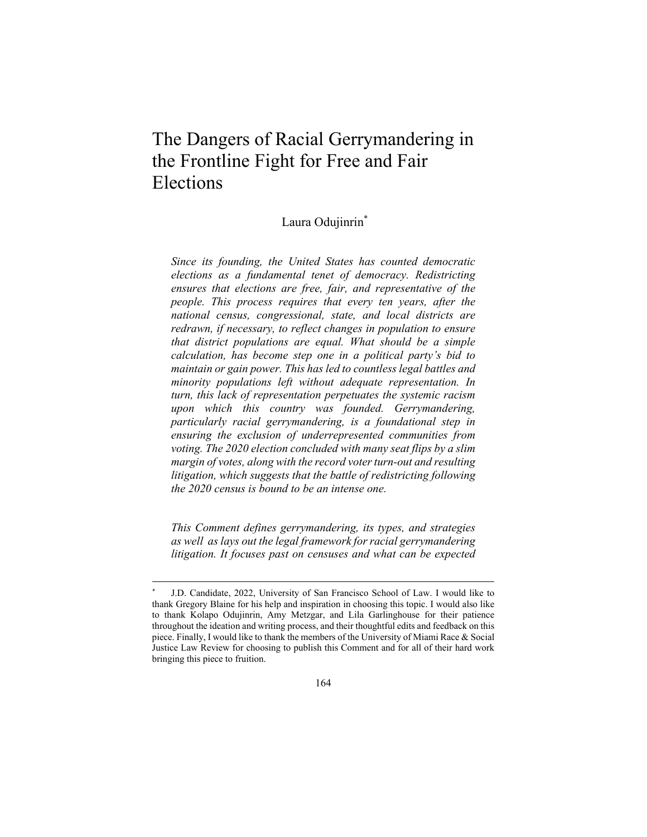# The Dangers of Racial Gerrymandering in the Frontline Fight for Free and Fair Elections

# Laura Odujinrin<sup>\*</sup>

*Since its founding, the United States has counted democratic elections as a fundamental tenet of democracy. Redistricting ensures that elections are free, fair, and representative of the people. This process requires that every ten years, after the national census, congressional, state, and local districts are redrawn, if necessary, to reflect changes in population to ensure that district populations are equal. What should be a simple calculation, has become step one in a political party's bid to maintain or gain power. This has led to countless legal battles and minority populations left without adequate representation. In turn, this lack of representation perpetuates the systemic racism upon which this country was founded. Gerrymandering, particularly racial gerrymandering, is a foundational step in ensuring the exclusion of underrepresented communities from voting. The 2020 election concluded with many seat flips by a slim margin of votes, along with the record voter turn-out and resulting litigation, which suggests that the battle of redistricting following the 2020 census is bound to be an intense one.* 

*This Comment defines gerrymandering, its types, and strategies as well as lays out the legal framework for racial gerrymandering litigation. It focuses past on censuses and what can be expected* 

J.D. Candidate, 2022, University of San Francisco School of Law. I would like to thank Gregory Blaine for his help and inspiration in choosing this topic. I would also like to thank Kolapo Odujinrin, Amy Metzgar, and Lila Garlinghouse for their patience throughout the ideation and writing process, and their thoughtful edits and feedback on this piece. Finally, I would like to thank the members of the University of Miami Race & Social Justice Law Review for choosing to publish this Comment and for all of their hard work bringing this piece to fruition.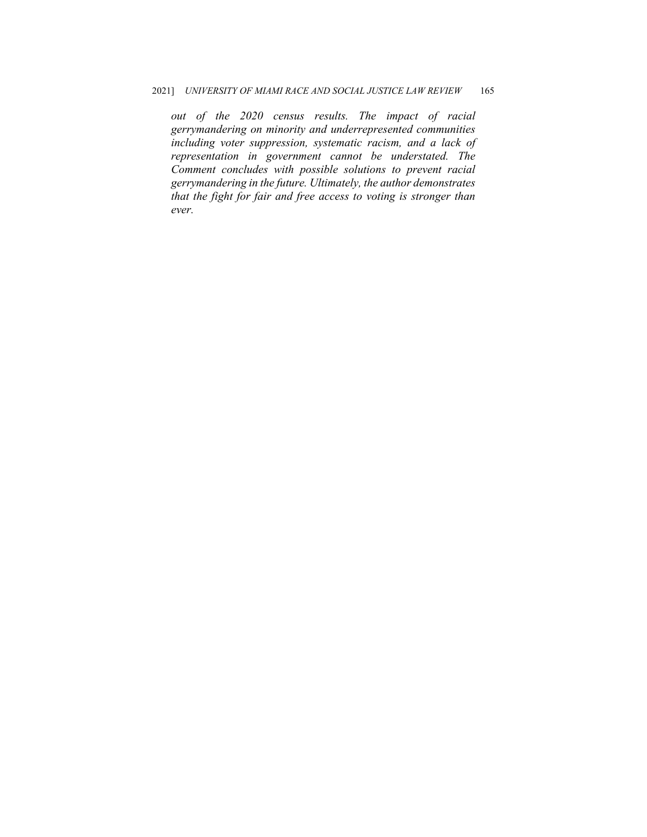*out of the 2020 census results. The impact of racial gerrymandering on minority and underrepresented communities including voter suppression, systematic racism, and a lack of representation in government cannot be understated. The Comment concludes with possible solutions to prevent racial gerrymandering in the future. Ultimately, the author demonstrates that the fight for fair and free access to voting is stronger than ever.*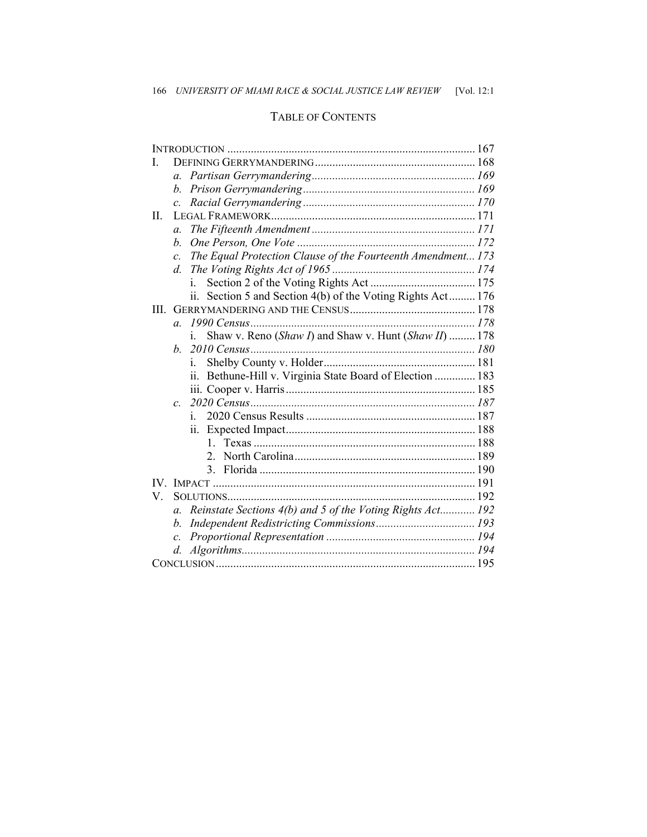# TABLE OF CONTENTS

| I.      |                                                                                |  |
|---------|--------------------------------------------------------------------------------|--|
|         | $\mathfrak{a}$ .                                                               |  |
|         | h.                                                                             |  |
|         |                                                                                |  |
| $\Pi$ . |                                                                                |  |
|         | $\mathfrak{a}$ .                                                               |  |
|         | $h_{\cdot}$                                                                    |  |
|         | c. The Equal Protection Clause of the Fourteenth Amendment 173                 |  |
|         |                                                                                |  |
|         | İ.                                                                             |  |
|         | Section 5 and Section 4(b) of the Voting Rights Act 176                        |  |
| III.    |                                                                                |  |
|         | $\overline{a}$                                                                 |  |
|         | Shaw v. Reno (Shaw I) and Shaw v. Hunt (Shaw II)  178                          |  |
|         | $h_{\cdot}$                                                                    |  |
|         | İ.                                                                             |  |
|         | Bethune-Hill v. Virginia State Board of Election  183<br>11.                   |  |
|         |                                                                                |  |
|         | $\overline{c}$                                                                 |  |
|         | İ.                                                                             |  |
|         |                                                                                |  |
|         |                                                                                |  |
|         |                                                                                |  |
|         |                                                                                |  |
|         |                                                                                |  |
| V.      |                                                                                |  |
|         | Reinstate Sections 4(b) and 5 of the Voting Rights Act 192<br>$\mathfrak{a}$ . |  |
|         | b.                                                                             |  |
|         | $\mathcal{C}$                                                                  |  |
|         | d.                                                                             |  |
|         |                                                                                |  |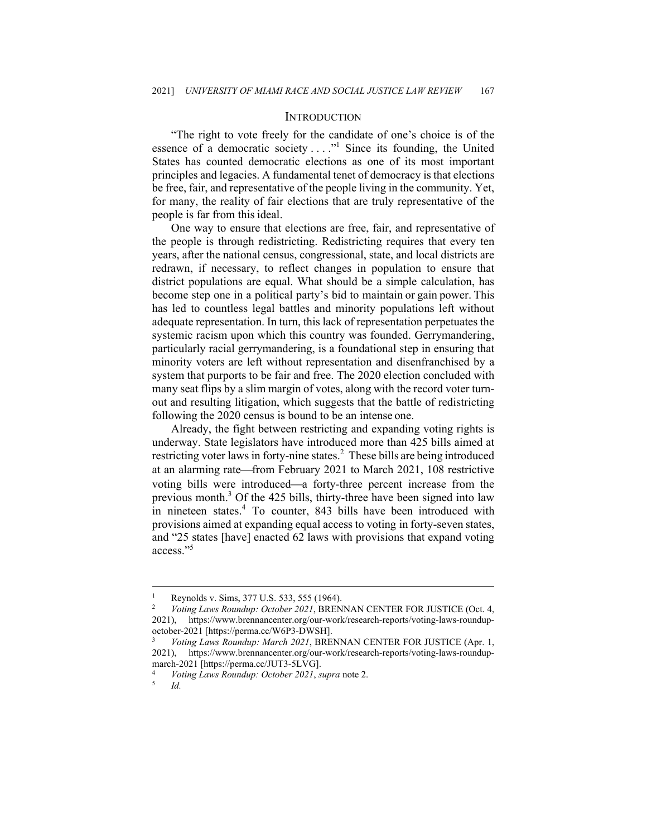#### **INTRODUCTION**

"The right to vote freely for the candidate of one's choice is of the essence of a democratic society  $\dots$ ." Since its founding, the United States has counted democratic elections as one of its most important principles and legacies. A fundamental tenet of democracy is that elections be free, fair, and representative of the people living in the community. Yet, for many, the reality of fair elections that are truly representative of the people is far from this ideal.

One way to ensure that elections are free, fair, and representative of the people is through redistricting. Redistricting requires that every ten years, after the national census, congressional, state, and local districts are redrawn, if necessary, to reflect changes in population to ensure that district populations are equal. What should be a simple calculation, has become step one in a political party's bid to maintain or gain power. This has led to countless legal battles and minority populations left without adequate representation. In turn, this lack of representation perpetuates the systemic racism upon which this country was founded. Gerrymandering, particularly racial gerrymandering, is a foundational step in ensuring that minority voters are left without representation and disenfranchised by a system that purports to be fair and free. The 2020 election concluded with many seat flips by a slim margin of votes, along with the record voter turnout and resulting litigation, which suggests that the battle of redistricting following the 2020 census is bound to be an intense one.

Already, the fight between restricting and expanding voting rights is underway. State legislators have introduced more than 425 bills aimed at restricting voter laws in forty-nine states.<sup>2</sup> These bills are being introduced at an alarming rate—from February 2021 to March 2021, 108 restrictive voting bills were introduced—a forty-three percent increase from the previous month.<sup>3</sup> Of the 425 bills, thirty-three have been signed into law in nineteen states.<sup>4</sup> To counter, 843 bills have been introduced with provisions aimed at expanding equal access to voting in forty-seven states, and "25 states [have] enacted 62 laws with provisions that expand voting access."<sup>5</sup>

<sup>1</sup> Reynolds v. Sims, 377 U.S. 533, 555 (1964).

<sup>2</sup> *Voting Laws Roundup: October 2021*, BRENNAN CENTER FOR JUSTICE (Oct. 4, 2021), https://www.brennancenter.org/our-work/research-reports/voting-laws-roundupoctober-2021 [https://perma.cc/W6P3-DWSH]. 3 *Voting Laws Roundup: March 2021*, BRENNAN CENTER FOR JUSTICE (Apr. 1,

<sup>2021),</sup> https://www.brennancenter.org/our-work/research-reports/voting-laws-roundupmarch-2021 [https://perma.cc/JUT3-5LVG].

<sup>4</sup> *Voting Laws Roundup: October 2021*, *supra* note 2. 5 *Id.*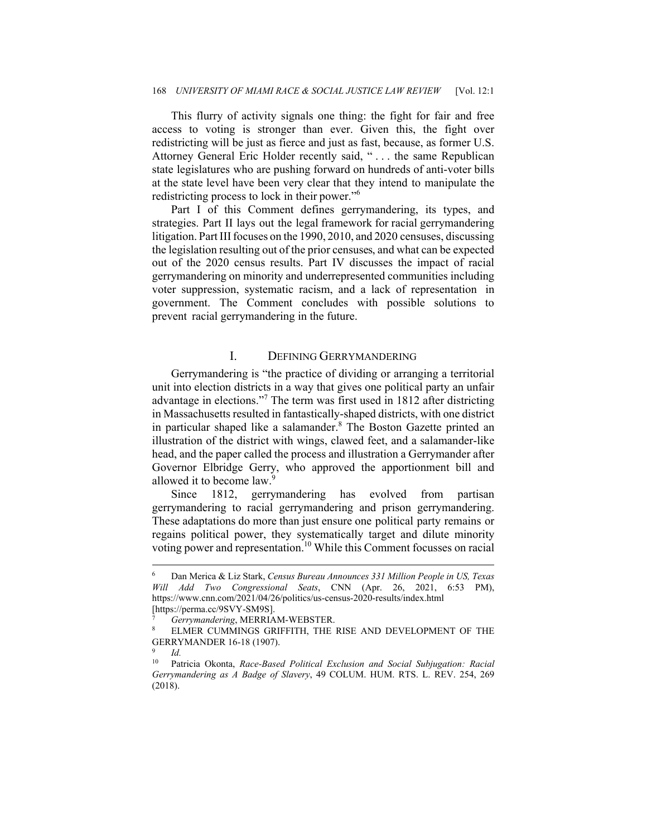This flurry of activity signals one thing: the fight for fair and free access to voting is stronger than ever. Given this, the fight over redistricting will be just as fierce and just as fast, because, as former U.S. Attorney General Eric Holder recently said, "... the same Republican state legislatures who are pushing forward on hundreds of anti-voter bills at the state level have been very clear that they intend to manipulate the redistricting process to lock in their power."6

Part I of this Comment defines gerrymandering, its types, and strategies. Part II lays out the legal framework for racial gerrymandering litigation. Part III focuses on the 1990, 2010, and 2020 censuses, discussing the legislation resulting out of the prior censuses, and what can be expected out of the 2020 census results. Part IV discusses the impact of racial gerrymandering on minority and underrepresented communities including voter suppression, systematic racism, and a lack of representation in government. The Comment concludes with possible solutions to prevent racial gerrymandering in the future.

# I. DEFINING GERRYMANDERING

Gerrymandering is "the practice of dividing or arranging a territorial unit into election districts in a way that gives one political party an unfair advantage in elections."<sup>7</sup> The term was first used in 1812 after districting in Massachusetts resulted in fantastically-shaped districts, with one district in particular shaped like a salamander.<sup>8</sup> The Boston Gazette printed an illustration of the district with wings, clawed feet, and a salamander-like head, and the paper called the process and illustration a Gerrymander after Governor Elbridge Gerry, who approved the apportionment bill and allowed it to become law.<sup>9</sup>

Since 1812, gerrymandering has evolved from partisan gerrymandering to racial gerrymandering and prison gerrymandering. These adaptations do more than just ensure one political party remains or regains political power, they systematically target and dilute minority voting power and representation.<sup>10</sup> While this Comment focusses on racial

<sup>6</sup> Dan Merica & Liz Stark, *Census Bureau Announces 331 Million People in US, Texas Will Add Two Congressional Seats*, CNN (Apr. 26, 2021, 6:53 PM), https://www.cnn.com/2021/04/26/politics/us-census-2020-results/index.html [https://perma.cc/9SVY-SM9S].

*Gerrymandering*, MERRIAM-WEBSTER.<br>ELMER CUMMINGS GRIFFITH, THE RISE AND DEVELOPMENT OF THE GERRYMANDER 16-18 (1907).

 $\frac{9}{10}$  *Id.* 

<sup>10</sup> Patricia Okonta, *Race-Based Political Exclusion and Social Subjugation: Racial Gerrymandering as A Badge of Slavery*, 49 COLUM. HUM. RTS. L. REV. 254, 269 (2018).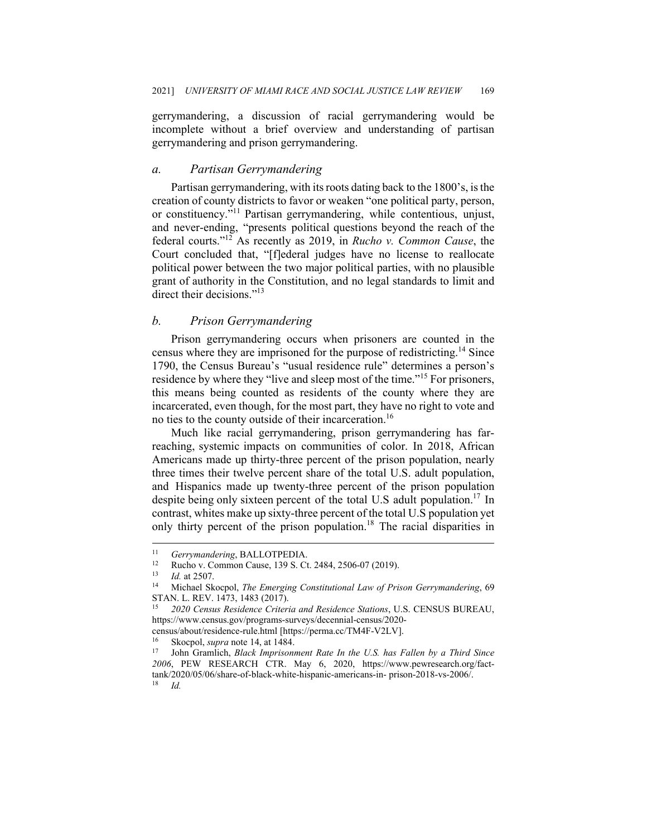gerrymandering, a discussion of racial gerrymandering would be incomplete without a brief overview and understanding of partisan gerrymandering and prison gerrymandering.

#### *a. Partisan Gerrymandering*

Partisan gerrymandering, with its roots dating back to the 1800's, is the creation of county districts to favor or weaken "one political party, person, or constituency."11 Partisan gerrymandering, while contentious, unjust, and never-ending, "presents political questions beyond the reach of the federal courts."12 As recently as 2019, in *Rucho v. Common Cause*, the Court concluded that, "[f]ederal judges have no license to reallocate political power between the two major political parties, with no plausible grant of authority in the Constitution, and no legal standards to limit and direct their decisions."<sup>13</sup>

### *b. Prison Gerrymandering*

Prison gerrymandering occurs when prisoners are counted in the census where they are imprisoned for the purpose of redistricting.<sup>14</sup> Since 1790, the Census Bureau's "usual residence rule" determines a person's residence by where they "live and sleep most of the time."<sup>15</sup> For prisoners, this means being counted as residents of the county where they are incarcerated, even though, for the most part, they have no right to vote and no ties to the county outside of their incarceration.<sup>16</sup>

Much like racial gerrymandering, prison gerrymandering has farreaching, systemic impacts on communities of color. In 2018, African Americans made up thirty-three percent of the prison population, nearly three times their twelve percent share of the total U.S. adult population, and Hispanics made up twenty-three percent of the prison population despite being only sixteen percent of the total U.S adult population.<sup>17</sup> In contrast, whites make up sixty-three percent of the total U.S population yet only thirty percent of the prison population.<sup>18</sup> The racial disparities in

<sup>11</sup> Gerrymandering, BALLOTPEDIA.<br>
<sup>12</sup> Rucho v. Common Cause, 139 S. Ct. 2484, 2506-07 (2019).<br>
<sup>13</sup> Id. at 2507.<br>
<sup>14</sup> Michael Skocpol, *The Emerging Constitutional Law of Prison Gerrymandering*, 69 STAN. L. REV. 1473, 1483 (2017).

<sup>15</sup> *2020 Census Residence Criteria and Residence Stations*, U.S. CENSUS BUREAU, https://www.census.gov/programs-surveys/decennial-census/2020-

census/about/residence-rule.html [https://perma.cc/TM4F-V2LV].<br><sup>16</sup> Skocpol, *supra* note 14, at 1484.<br><sup>17</sup> John Gramlich, *Black Imprisonment Rate In the U.S. has Fallen by a Third Since 2006*, PEW RESEARCH CTR. May 6, 2020, https://www.pewresearch.org/facttank/2020/05/06/share-of-black-white-hispanic-americans-in- prison-2018-vs-2006/. 18 *Id.*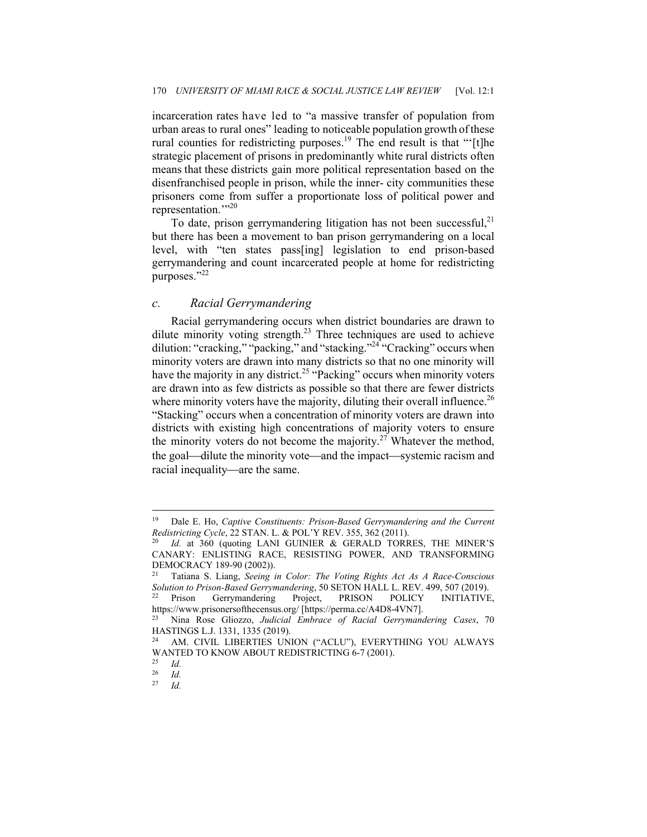incarceration rates have led to "a massive transfer of population from urban areas to rural ones" leading to noticeable population growth of these rural counties for redistricting purposes.<sup>19</sup> The end result is that "'[t]he strategic placement of prisons in predominantly white rural districts often means that these districts gain more political representation based on the disenfranchised people in prison, while the inner- city communities these prisoners come from suffer a proportionate loss of political power and representation."<sup>20</sup>

To date, prison gerrymandering litigation has not been successful, $^{21}$ but there has been a movement to ban prison gerrymandering on a local level, with "ten states pass[ing] legislation to end prison-based gerrymandering and count incarcerated people at home for redistricting purposes."<sup>22</sup>

#### *c. Racial Gerrymandering*

Racial gerrymandering occurs when district boundaries are drawn to dilute minority voting strength.<sup>23</sup> Three techniques are used to achieve dilution: "cracking," "packing," and "stacking."<sup>24</sup> "Cracking" occurs when minority voters are drawn into many districts so that no one minority will have the majority in any district.<sup>25</sup> "Packing" occurs when minority voters are drawn into as few districts as possible so that there are fewer districts where minority voters have the majority, diluting their overall influence.<sup>26</sup> "Stacking" occurs when a concentration of minority voters are drawn into districts with existing high concentrations of majority voters to ensure the minority voters do not become the majority.<sup>27</sup> Whatever the method, the goal—dilute the minority vote—and the impact—systemic racism and racial inequality—are the same.

<sup>19</sup> Dale E. Ho, *Captive Constituents: Prison-Based Gerrymandering and the Current Redistricting Cycle*, 22 STAN. L. & POL'Y REV. 355, 362 (2011).<br><sup>20</sup> *Id.* at 360 (quoting LANI GUINIER & GERALD TORRES, THE MINER'S

CANARY: ENLISTING RACE, RESISTING POWER, AND TRANSFORMING DEMOCRACY 189-90 (2002)).

<sup>21</sup> Tatiana S. Liang, *Seeing in Color: The Voting Rights Act As A Race-Conscious Solution to Prison-Based Gerrymandering*, 50 SETON HALL L. REV. 499, 507 (2019). 22 Prison Gerrymandering Project, PRISON POLICY INITIATIVE,

https://www.prisonersofthecensus.org/ [https://perma.cc/A4D8-4VN7]. 23 Nina Rose Gliozzo, *Judicial Embrace of Racial Gerrymandering Cases*, 70

HASTINGS L.J. 1331, 1335 (2019).

<sup>24</sup> AM. CIVIL LIBERTIES UNION ("ACLU"), EVERYTHING YOU ALWAYS WANTED TO KNOW ABOUT REDISTRICTING 6-7 (2001).

 $\frac{25}{26}$  *Id.* 

 $rac{26}{27}$  *Id.* 27 *Id.*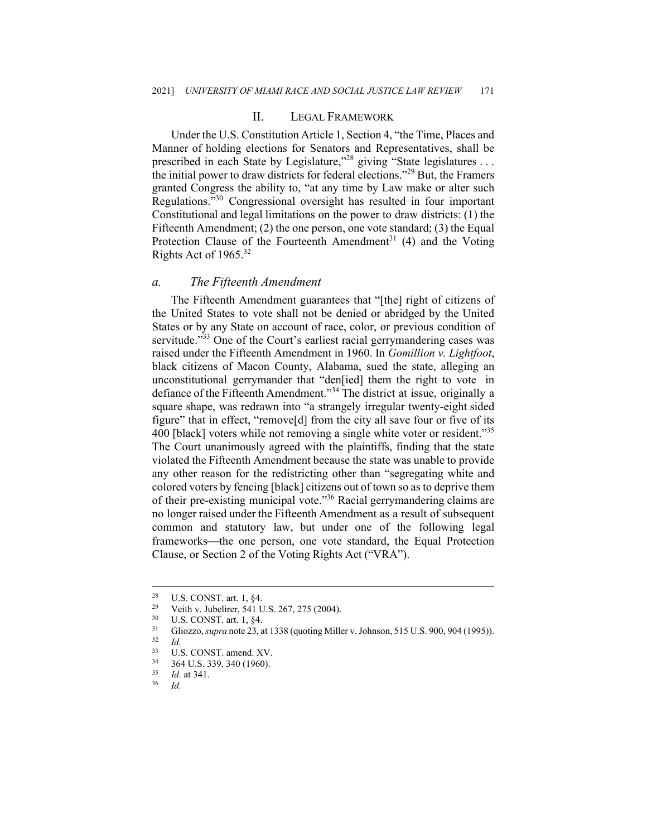#### II. LEGAL FRAMEWORK

Under the U.S. Constitution Article 1, Section 4, "the Time, Places and Manner of holding elections for Senators and Representatives, shall be prescribed in each State by Legislature,"<sup>28</sup> giving "State legislatures . . . the initial power to draw districts for federal elections."29 But, the Framers granted Congress the ability to, "at any time by Law make or alter such Regulations."30 Congressional oversight has resulted in four important Constitutional and legal limitations on the power to draw districts: (1) the Fifteenth Amendment; (2) the one person, one vote standard; (3) the Equal Protection Clause of the Fourteenth Amendment<sup>31</sup> (4) and the Voting Rights Act of  $1965.^{32}$ 

#### *a. The Fifteenth Amendment*

The Fifteenth Amendment guarantees that "[the] right of citizens of the United States to vote shall not be denied or abridged by the United States or by any State on account of race, color, or previous condition of servitude."<sup>33</sup> One of the Court's earliest racial gerrymandering cases was raised under the Fifteenth Amendment in 1960. In *Gomillion v. Lightfoot*, black citizens of Macon County, Alabama, sued the state, alleging an unconstitutional gerrymander that "den[ied] them the right to vote in defiance of the Fifteenth Amendment."<sup>34</sup> The district at issue, originally a square shape, was redrawn into "a strangely irregular twenty-eight sided figure" that in effect, "remove[d] from the city all save four or five of its 400 [black] voters while not removing a single white voter or resident."<sup>35</sup> The Court unanimously agreed with the plaintiffs, finding that the state violated the Fifteenth Amendment because the state was unable to provide any other reason for the redistricting other than "segregating white and colored voters by fencing [black] citizens out of town so as to deprive them of their pre-existing municipal vote."36 Racial gerrymandering claims are no longer raised under the Fifteenth Amendment as a result of subsequent common and statutory law, but under one of the following legal frameworks—the one person, one vote standard, the Equal Protection Clause, or Section 2 of the Voting Rights Act ("VRA").

<sup>&</sup>lt;sup>28</sup> U.S. CONST. art. 1,  $\S4$ .

<sup>&</sup>lt;sup>29</sup> Veith v. Jubelirer, 541 U.S. 267, 275 (2004).<br><sup>30</sup> U.S. CONST. art. 1, §4.<br><sup>31</sup> Gliazza sung pata 23, at 1338 (quating Mill.

<sup>&</sup>lt;sup>31</sup> Gliozzo, *supra* note 23, at 1338 (quoting Miller v. Johnson, 515 U.S. 900, 904 (1995)).<br><sup>32</sup> Id.<br><sup>33</sup> IJ S. CONST. amend XV.

 $33$  U.S. CONST. amend. XV.

 $3^3$  364 U.S. 339, 340 (1960).

<sup>35</sup> *Id.* at 341. 36 *Id.*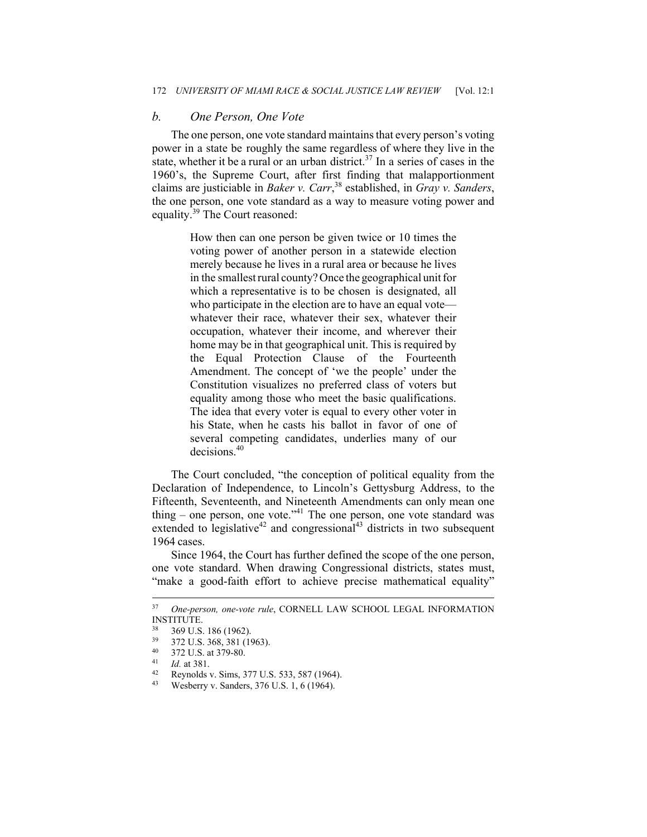# *b. One Person, One Vote*

The one person, one vote standard maintains that every person's voting power in a state be roughly the same regardless of where they live in the state, whether it be a rural or an urban district.<sup>37</sup> In a series of cases in the 1960's, the Supreme Court, after first finding that malapportionment claims are justiciable in *Baker v. Carr*, <sup>38</sup> established, in *Gray v. Sanders*, the one person, one vote standard as a way to measure voting power and equality.<sup>39</sup> The Court reasoned:

> How then can one person be given twice or 10 times the voting power of another person in a statewide election merely because he lives in a rural area or because he lives in the smallest rural county? Once the geographical unit for which a representative is to be chosen is designated, all who participate in the election are to have an equal vote whatever their race, whatever their sex, whatever their occupation, whatever their income, and wherever their home may be in that geographical unit. This is required by the Equal Protection Clause of the Fourteenth Amendment. The concept of 'we the people' under the Constitution visualizes no preferred class of voters but equality among those who meet the basic qualifications. The idea that every voter is equal to every other voter in his State, when he casts his ballot in favor of one of several competing candidates, underlies many of our decisions.<sup>40</sup>

The Court concluded, "the conception of political equality from the Declaration of Independence, to Lincoln's Gettysburg Address, to the Fifteenth, Seventeenth, and Nineteenth Amendments can only mean one thing – one person, one vote."<sup>41</sup> The one person, one vote standard was extended to legislative<sup>42</sup> and congressional<sup>43</sup> districts in two subsequent 1964 cases.

Since 1964, the Court has further defined the scope of the one person, one vote standard. When drawing Congressional districts, states must, "make a good-faith effort to achieve precise mathematical equality"

<sup>37</sup> *One-person, one-vote rule*, CORNELL LAW SCHOOL LEGAL INFORMATION INSTITUTE.

 $\frac{38}{39}$  369 U.S. 186 (1962).

 $39$  372 U.S. 368, 381 (1963).

 $^{40}$  372 U.S. at 379-80.

<sup>41</sup> *Id.* at 381.<br><sup>42</sup> Reynolds v. Sims, 377 U.S. 533, 587 (1964).<br><sup>43</sup> Wesherw v. Sandars, 376 U.S. 1, 6 (1964).

<sup>43</sup> Wesberry v. Sanders, 376 U.S. 1, 6 (1964).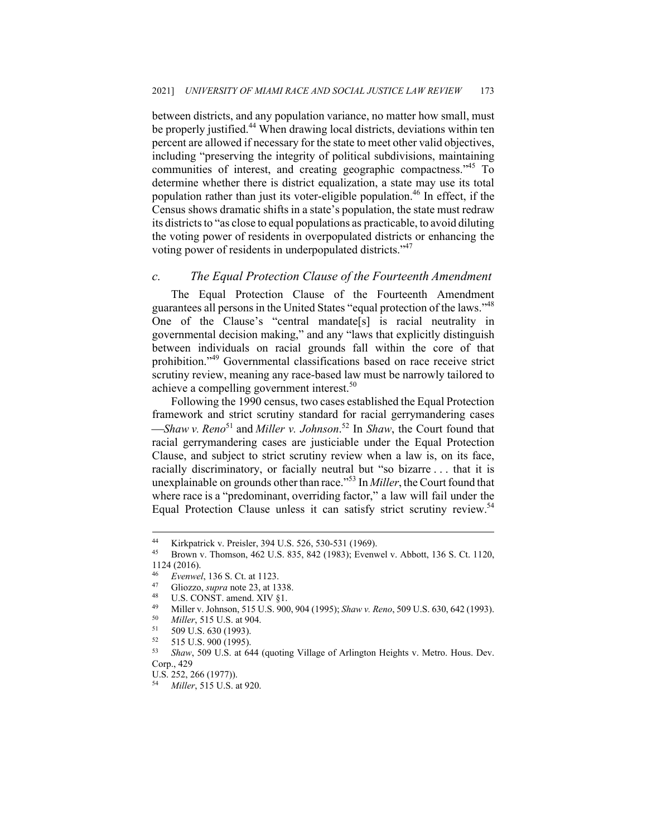between districts, and any population variance, no matter how small, must be properly justified.<sup>44</sup> When drawing local districts, deviations within ten percent are allowed if necessary for the state to meet other valid objectives, including "preserving the integrity of political subdivisions, maintaining communities of interest, and creating geographic compactness."45 To determine whether there is district equalization, a state may use its total population rather than just its voter-eligible population.<sup>46</sup> In effect, if the Census shows dramatic shifts in a state's population, the state must redraw its districts to "as close to equal populations as practicable, to avoid diluting the voting power of residents in overpopulated districts or enhancing the voting power of residents in underpopulated districts."<sup>47</sup>

#### *c. The Equal Protection Clause of the Fourteenth Amendment*

The Equal Protection Clause of the Fourteenth Amendment guarantees all persons in the United States "equal protection of the laws."<sup>48</sup> One of the Clause's "central mandate[s] is racial neutrality in governmental decision making," and any "laws that explicitly distinguish between individuals on racial grounds fall within the core of that prohibition."49 Governmental classifications based on race receive strict scrutiny review, meaning any race-based law must be narrowly tailored to achieve a compelling government interest.<sup>50</sup>

Following the 1990 census, two cases established the Equal Protection framework and strict scrutiny standard for racial gerrymandering cases *Shaw v. Reno*<sup>51</sup> and *Miller v. Johnson*. <sup>52</sup> In *Shaw*, the Court found that racial gerrymandering cases are justiciable under the Equal Protection Clause, and subject to strict scrutiny review when a law is, on its face, racially discriminatory, or facially neutral but "so bizarre . . . that it is unexplainable on grounds other than race."<sup>53</sup> In *Miller*, the Court found that where race is a "predominant, overriding factor," a law will fail under the Equal Protection Clause unless it can satisfy strict scrutiny review.<sup>54</sup>

<sup>44</sup> Kirkpatrick v. Preisler, 394 U.S. 526, 530-531 (1969). 45 Brown v. Thomson, 462 U.S. 835, 842 (1983); Evenwel v. Abbott, 136 S. Ct. 1120,  $1124$  (2016).

<sup>46</sup> *Evenwel*, 136 S. Ct. at 1123.<br>
47 Gliozzo, *supra* note 23, at 1338.<br>
48 U.S. CONST. amend. XIV §1.<br>
49 Millow Johnson 515 U.S. 000.

<sup>49</sup> Miller v. Johnson, 515 U.S. 900, 904 (1995); *Shaw v. Reno*, 509 U.S. 630, 642 (1993).<br>
50 *Miller*, 515 U.S. at 904.<br>
509 U.S. 630 (1993).<br>
51 515 U.S. 900 (1993).

 $\frac{52}{53}$  515 U.S. 900 (1995).<br> $\frac{53}{53}$  Show 500 U.S. at 60

<sup>53</sup> *Shaw*, 509 U.S. at 644 (quoting Village of Arlington Heights v. Metro. Hous. Dev. Corp., 429

U.S. 252, 266 (1977)).

<sup>54</sup> *Miller*, 515 U.S. at 920.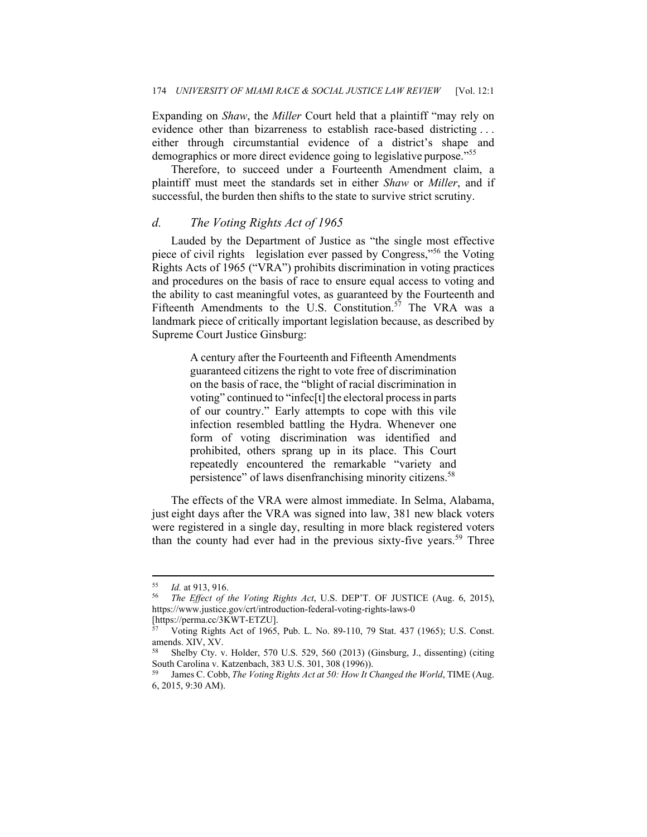Expanding on *Shaw*, the *Miller* Court held that a plaintiff "may rely on evidence other than bizarreness to establish race-based districting . . . either through circumstantial evidence of a district's shape and demographics or more direct evidence going to legislative purpose."<sup>55</sup>

Therefore, to succeed under a Fourteenth Amendment claim, a plaintiff must meet the standards set in either *Shaw* or *Miller*, and if successful, the burden then shifts to the state to survive strict scrutiny.

## *d. The Voting Rights Act of 1965*

Lauded by the Department of Justice as "the single most effective piece of civil rights legislation ever passed by Congress,"<sup>56</sup> the Voting Rights Acts of 1965 ("VRA") prohibits discrimination in voting practices and procedures on the basis of race to ensure equal access to voting and the ability to cast meaningful votes, as guaranteed by the Fourteenth and Fifteenth Amendments to the U.S. Constitution.<sup>57</sup> The VRA was a landmark piece of critically important legislation because, as described by Supreme Court Justice Ginsburg:

> A century after the Fourteenth and Fifteenth Amendments guaranteed citizens the right to vote free of discrimination on the basis of race, the "blight of racial discrimination in voting" continued to "infec[t] the electoral process in parts of our country." Early attempts to cope with this vile infection resembled battling the Hydra. Whenever one form of voting discrimination was identified and prohibited, others sprang up in its place. This Court repeatedly encountered the remarkable "variety and persistence" of laws disenfranchising minority citizens.<sup>58</sup>

The effects of the VRA were almost immediate. In Selma, Alabama, just eight days after the VRA was signed into law, 381 new black voters were registered in a single day, resulting in more black registered voters than the county had ever had in the previous sixty-five years.<sup>59</sup> Three

<sup>55</sup> *Id.* at 913, 916. 56 *The Effect of the Voting Rights Act*, U.S. DEP'T. OF JUSTICE (Aug. 6, 2015), https://www.justice.gov/crt/introduction-federal-voting-rights-laws-0 [https://perma.cc/3KWT-ETZU].

<sup>57</sup> Voting Rights Act of 1965, Pub. L. No. 89-110, 79 Stat. 437 (1965); U.S. Const. amends. XIV, XV.

<sup>58</sup> Shelby Cty. v. Holder, 570 U.S. 529, 560 (2013) (Ginsburg, J., dissenting) (citing South Carolina v. Katzenbach, 383 U.S. 301, 308 (1996)).

James C. Cobb, *The Voting Rights Act at 50: How It Changed the World*, TIME (Aug. 6, 2015, 9:30 AM).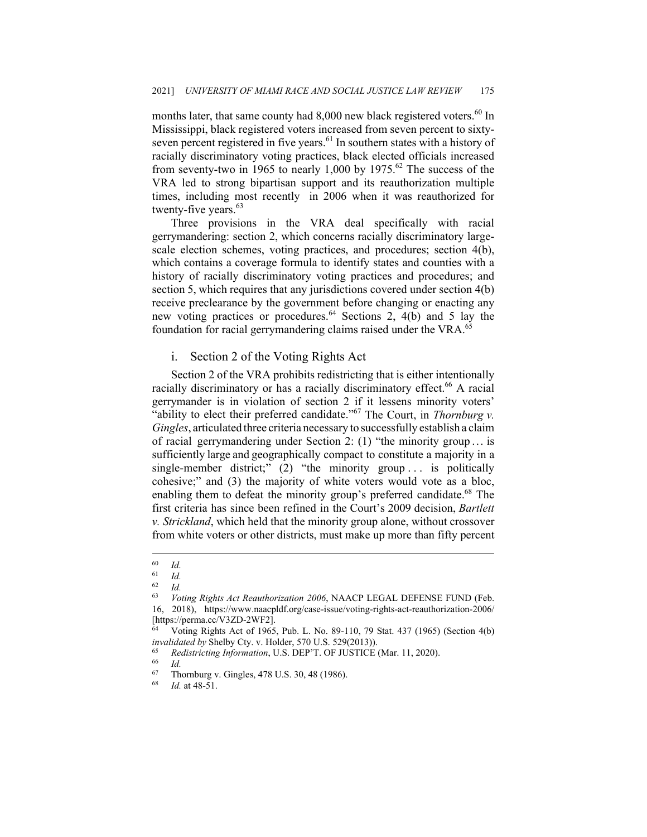months later, that same county had  $8,000$  new black registered voters.<sup>60</sup> In Mississippi, black registered voters increased from seven percent to sixtyseven percent registered in five years.<sup>61</sup> In southern states with a history of racially discriminatory voting practices, black elected officials increased from seventy-two in 1965 to nearly 1,000 by 1975.<sup>62</sup> The success of the VRA led to strong bipartisan support and its reauthorization multiple times, including most recently in 2006 when it was reauthorized for twenty-five years.<sup>63</sup>

Three provisions in the VRA deal specifically with racial gerrymandering: section 2, which concerns racially discriminatory largescale election schemes, voting practices, and procedures; section 4(b), which contains a coverage formula to identify states and counties with a history of racially discriminatory voting practices and procedures; and section 5, which requires that any jurisdictions covered under section 4(b) receive preclearance by the government before changing or enacting any new voting practices or procedures.<sup>64</sup> Sections 2, 4(b) and 5 lay the foundation for racial gerrymandering claims raised under the VRA.<sup>65</sup>

## i. Section 2 of the Voting Rights Act

Section 2 of the VRA prohibits redistricting that is either intentionally racially discriminatory or has a racially discriminatory effect.<sup>66</sup> A racial gerrymander is in violation of section 2 if it lessens minority voters' "ability to elect their preferred candidate."67 The Court, in *Thornburg v. Gingles*, articulated three criteria necessary to successfully establish a claim of racial gerrymandering under Section 2:  $(1)$  "the minority group ... is sufficiently large and geographically compact to constitute a majority in a single-member district;" (2) "the minority group ... is politically cohesive;" and (3) the majority of white voters would vote as a bloc, enabling them to defeat the minority group's preferred candidate.<sup>68</sup> The first criteria has since been refined in the Court's 2009 decision, *Bartlett v. Strickland*, which held that the minority group alone, without crossover from white voters or other districts, must make up more than fifty percent

 $\begin{array}{cc} 60 & Id. \\ 61 & Id. \end{array}$ 

 $\begin{array}{cc} 61 & \text{Id.} \\ 62 & \text{Id.} \end{array}$ 

 $\begin{array}{cc} 62 & Id. \\ 63 & V. \end{array}$ 

Voting Rights Act Reauthorization 2006, NAACP LEGAL DEFENSE FUND (Feb. 16, 2018), https://www.naacpldf.org/case-issue/voting-rights-act-reauthorization-2006/ [https://perma.cc/V3ZD-2WF2].

<sup>64</sup> Voting Rights Act of 1965, Pub. L. No. 89-110, 79 Stat. 437 (1965) (Section 4(b) *invalidated by* Shelby Cty. v. Holder, 570 U.S. 529(2013)).<br>
<sup>65</sup> *Redistricting Information*, U.S. DEP'T. OF JUSTICE (Mar. 11, 2020).<br>
<sup>67</sup> *Themburgy* Gircles 478 U.S. 20, 48 (1086).

 $^{67}$  Thornburg v. Gingles, 478 U.S. 30, 48 (1986).

*Id.* at 48-51.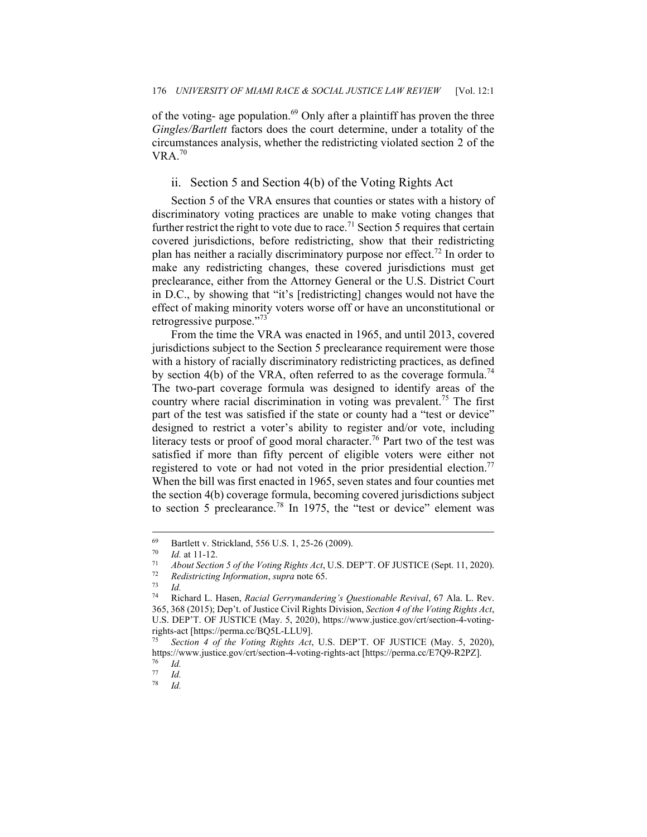of the voting- age population. $69$  Only after a plaintiff has proven the three *Gingles/Bartlett* factors does the court determine, under a totality of the circumstances analysis, whether the redistricting violated section 2 of the  $VRA.<sup>70</sup>$ 

# ii. Section 5 and Section 4(b) of the Voting Rights Act

Section 5 of the VRA ensures that counties or states with a history of discriminatory voting practices are unable to make voting changes that further restrict the right to vote due to race.<sup>71</sup> Section 5 requires that certain covered jurisdictions, before redistricting, show that their redistricting plan has neither a racially discriminatory purpose nor effect.<sup>72</sup> In order to make any redistricting changes, these covered jurisdictions must get preclearance, either from the Attorney General or the U.S. District Court in D.C., by showing that "it's [redistricting] changes would not have the effect of making minority voters worse off or have an unconstitutional or retrogressive purpose."<sup>73</sup>

From the time the VRA was enacted in 1965, and until 2013, covered jurisdictions subject to the Section 5 preclearance requirement were those with a history of racially discriminatory redistricting practices, as defined by section 4(b) of the VRA, often referred to as the coverage formula.<sup>74</sup> The two-part coverage formula was designed to identify areas of the country where racial discrimination in voting was prevalent.<sup>75</sup> The first part of the test was satisfied if the state or county had a "test or device" designed to restrict a voter's ability to register and/or vote, including literacy tests or proof of good moral character.<sup>76</sup> Part two of the test was satisfied if more than fifty percent of eligible voters were either not registered to vote or had not voted in the prior presidential election.<sup>77</sup> When the bill was first enacted in 1965, seven states and four counties met the section 4(b) coverage formula, becoming covered jurisdictions subject to section 5 preclearance.<sup>78</sup> In 1975, the "test or device" element was

<sup>69</sup> Bartlett v. Strickland, 556 U.S. 1, 25-26 (2009).

<sup>70</sup> *Id.* at 11-12. 71 *About Section 5 of the Voting Rights Act*, U.S. DEP'T. OF JUSTICE (Sept. 11, 2020). 72 *Redistricting Information*, *supra* note 65. 73 *Id.* 

<sup>74</sup> Richard L. Hasen, *Racial Gerrymandering's Questionable Revival*, 67 Ala. L. Rev. 365, 368 (2015); Dep't. of Justice Civil Rights Division, *Section 4 of the Voting Rights Act*, U.S. DEP'T. OF JUSTICE (May. 5, 2020), https://www.justice.gov/crt/section-4-votingrights-act [https://perma.cc/BQ5L-LLU9].

Section 4 of the Voting Rights Act, U.S. DEP'T. OF JUSTICE (May. 5, 2020), https://www.justice.gov/crt/section-4-voting-rights-act [https://perma.cc/E7Q9-R2PZ]. 76 *Id.*

 $\frac{77}{78}$  *Id.* 

<sup>78</sup> *Id.*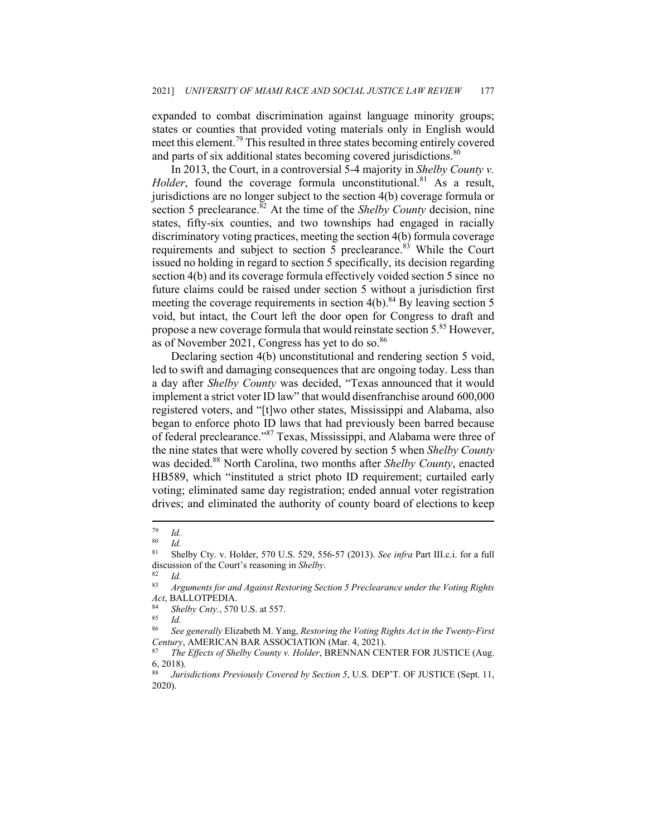expanded to combat discrimination against language minority groups; states or counties that provided voting materials only in English would meet this element.<sup>79</sup> This resulted in three states becoming entirely covered and parts of six additional states becoming covered jurisdictions.<sup>80</sup>

In 2013, the Court, in a controversial 5-4 majority in *Shelby County v. Holder*, found the coverage formula unconstitutional.<sup>81</sup> As a result, jurisdictions are no longer subject to the section 4(b) coverage formula or section 5 preclearance.<sup>82</sup> At the time of the *Shelby County* decision, nine states, fifty-six counties, and two townships had engaged in racially discriminatory voting practices, meeting the section 4(b) formula coverage requirements and subject to section 5 preclearance.<sup>83</sup> While the Court issued no holding in regard to section 5 specifically, its decision regarding section 4(b) and its coverage formula effectively voided section 5 since no future claims could be raised under section 5 without a jurisdiction first meeting the coverage requirements in section  $4(b)$ .<sup>84</sup> By leaving section 5 void, but intact, the Court left the door open for Congress to draft and propose a new coverage formula that would reinstate section 5.<sup>85</sup> However, as of November 2021, Congress has yet to do so.<sup>86</sup>

Declaring section 4(b) unconstitutional and rendering section 5 void, led to swift and damaging consequences that are ongoing today. Less than a day after *Shelby County* was decided, "Texas announced that it would implement a strict voter ID law" that would disenfranchise around 600,000 registered voters, and "[t]wo other states, Mississippi and Alabama, also began to enforce photo ID laws that had previously been barred because of federal preclearance."<sup>87</sup> Texas, Mississippi, and Alabama were three of the nine states that were wholly covered by section 5 when *Shelby County*  was decided.<sup>88</sup> North Carolina, two months after *Shelby County*, enacted HB589, which "instituted a strict photo ID requirement; curtailed early voting; eliminated same day registration; ended annual voter registration drives; and eliminated the authority of county board of elections to keep

 $\frac{79}{80}$  *Id.* 

 $\frac{80}{81}$  *Id.* 

<sup>81</sup> Shelby Cty. v. Holder, 570 U.S. 529, 556-57 (2013). *See infra* Part III.c.i. for a full discussion of the Court's reasoning in *Shelby*.<br><sup>82</sup> Id.<br><sup>83</sup> Arguments for and Agginst Restoring Sec

<sup>83</sup> *Arguments for and Against Restoring Section 5 Preclearance under the Voting Rights Act*, BALLOTPEDIA. 84 *Shelby Cnty.*, 570 U.S. at 557. 85 *Id.* 

<sup>86</sup> *See generally* Elizabeth M. Yang, *Restoring the Voting Rights Act in the Twenty-First Century*, AMERICAN BAR ASSOCIATION (Mar. 4, 2021).<br><sup>87</sup> The Effects of Shelby County v. Holder, BRENNAN CENTER FOR JUSTICE (Aug.

<sup>6, 2018).</sup> 

<sup>88</sup> *Jurisdictions Previously Covered by Section 5*, U.S. DEP'T. OF JUSTICE (Sept. 11, 2020).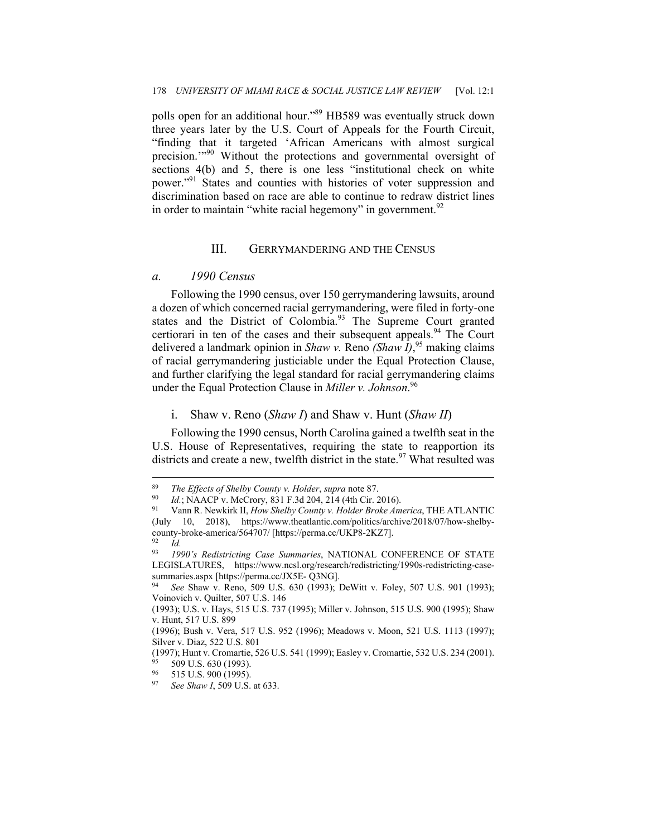polls open for an additional hour."<sup>89</sup> HB589 was eventually struck down three years later by the U.S. Court of Appeals for the Fourth Circuit, "finding that it targeted 'African Americans with almost surgical precision."<sup>90</sup> Without the protections and governmental oversight of sections 4(b) and 5, there is one less "institutional check on white power."91 States and counties with histories of voter suppression and discrimination based on race are able to continue to redraw district lines in order to maintain "white racial hegemony" in government.  $92$ 

#### III. GERRYMANDERING AND THE CENSUS

## *a. 1990 Census*

Following the 1990 census, over 150 gerrymandering lawsuits, around a dozen of which concerned racial gerrymandering, were filed in forty-one states and the District of Colombia.<sup>93</sup> The Supreme Court granted certiorari in ten of the cases and their subsequent appeals.<sup>94</sup> The Court delivered a landmark opinion in *Shaw v.* Reno *(Shaw I)*, <sup>95</sup> making claims of racial gerrymandering justiciable under the Equal Protection Clause, and further clarifying the legal standard for racial gerrymandering claims under the Equal Protection Clause in *Miller v. Johnson*. 96

#### i. Shaw v. Reno (*Shaw I*) and Shaw v. Hunt (*Shaw II*)

Following the 1990 census, North Carolina gained a twelfth seat in the U.S. House of Representatives, requiring the state to reapportion its districts and create a new, twelfth district in the state.<sup>97</sup> What resulted was

<sup>&</sup>lt;sup>89</sup> The Effects of Shelby County v. Holder, supra note 87.<br><sup>90</sup> Id.; NAACP v. McCrory, 831 F.3d 204, 214 (4th Cir. 2016).<br><sup>91</sup> Vann R. Newkirk II, How Shelby County v. Holder Broke America, THE ATLANTIC (July 10, 2018), https://www.theatlantic.com/politics/archive/2018/07/how-shelbycounty-broke-america/564707/ [https://perma.cc/UKP8-2KZ7].

<sup>92</sup> *Id.*

<sup>93</sup> *1990's Redistricting Case Summaries*, NATIONAL CONFERENCE OF STATE LEGISLATURES, https://www.ncsl.org/research/redistricting/1990s-redistricting-casesummaries.aspx [https://perma.cc/JX5E- Q3NG].

See Shaw v. Reno, 509 U.S. 630 (1993); DeWitt v. Foley, 507 U.S. 901 (1993); Voinovich v. Quilter, 507 U.S. 146

<sup>(1993);</sup> U.S. v. Hays, 515 U.S. 737 (1995); Miller v. Johnson, 515 U.S. 900 (1995); Shaw v. Hunt, 517 U.S. 899

<sup>(1996);</sup> Bush v. Vera, 517 U.S. 952 (1996); Meadows v. Moon, 521 U.S. 1113 (1997); Silver v. Diaz, 522 U.S. 801

<sup>(1997);</sup> Hunt v. Cromartie, 526 U.S. 541 (1999); Easley v. Cromartie, 532 U.S. 234 (2001).<br>
<sup>95</sup> 509 U.S. 630 (1993).<br>
<sup>96</sup> 515 U.S. 000 (1005).

<sup>515</sup> U.S. 900 (1995).

See Shaw *I*, 509 U.S. at 633.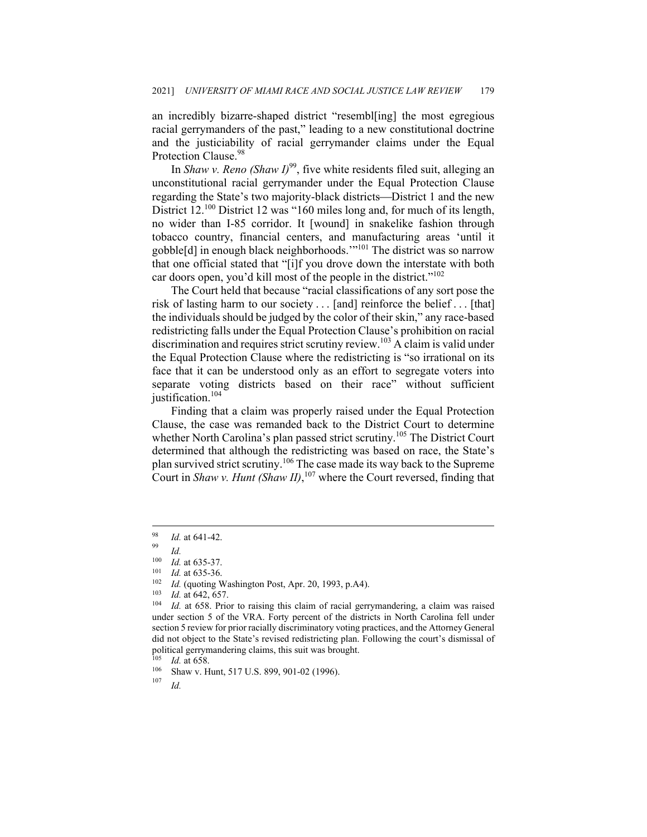an incredibly bizarre-shaped district "resembl[ing] the most egregious racial gerrymanders of the past," leading to a new constitutional doctrine and the justiciability of racial gerrymander claims under the Equal Protection Clause.<sup>98</sup>

In *Shaw v. Reno (Shaw I)*<sup>99</sup>, five white residents filed suit, alleging an unconstitutional racial gerrymander under the Equal Protection Clause regarding the State's two majority-black districts—District 1 and the new District 12.<sup>100</sup> District 12 was "160 miles long and, for much of its length, no wider than I-85 corridor. It [wound] in snakelike fashion through tobacco country, financial centers, and manufacturing areas 'until it gobble[d] in enough black neighborhoods.'"101 The district was so narrow that one official stated that "[i]f you drove down the interstate with both car doors open, you'd kill most of the people in the district."<sup>102</sup>

The Court held that because "racial classifications of any sort pose the risk of lasting harm to our society . . . [and] reinforce the belief . . . [that] the individuals should be judged by the color of their skin," any race-based redistricting falls under the Equal Protection Clause's prohibition on racial discrimination and requires strict scrutiny review.<sup>103</sup> A claim is valid under the Equal Protection Clause where the redistricting is "so irrational on its face that it can be understood only as an effort to segregate voters into separate voting districts based on their race" without sufficient justification.<sup>104</sup>

Finding that a claim was properly raised under the Equal Protection Clause, the case was remanded back to the District Court to determine whether North Carolina's plan passed strict scrutiny.<sup>105</sup> The District Court determined that although the redistricting was based on race, the State's plan survived strict scrutiny.<sup>106</sup> The case made its way back to the Supreme Court in *Shaw v. Hunt (Shaw II)*, <sup>107</sup> where the Court reversed, finding that

<sup>98</sup> *Id.* at 641-42. 99 *Id.*

<sup>&</sup>lt;sup>100</sup> *Id.* at 635-37.<br>
<sup>101</sup> *Id.* at 635-36.<br>
<sup>102</sup> *Id.* (quoting Washington Post, Apr. 20, 1993, p.A4).<br>
<sup>103</sup> *Id.* at 642, 657.<br>
<sup>104</sup> *Id.* at 658. Prior to raising this claim of racial gerrymandering, a claim was under section 5 of the VRA. Forty percent of the districts in North Carolina fell under section 5 review for prior racially discriminatory voting practices, and the Attorney General did not object to the State's revised redistricting plan. Following the court's dismissal of political gerrymandering claims, this suit was brought.

<sup>105</sup> *Id.* at 658.<br>
<sup>106</sup> Shaw v. Hunt, 517 U.S. 899, 901-02 (1996).<br> *107 Id.*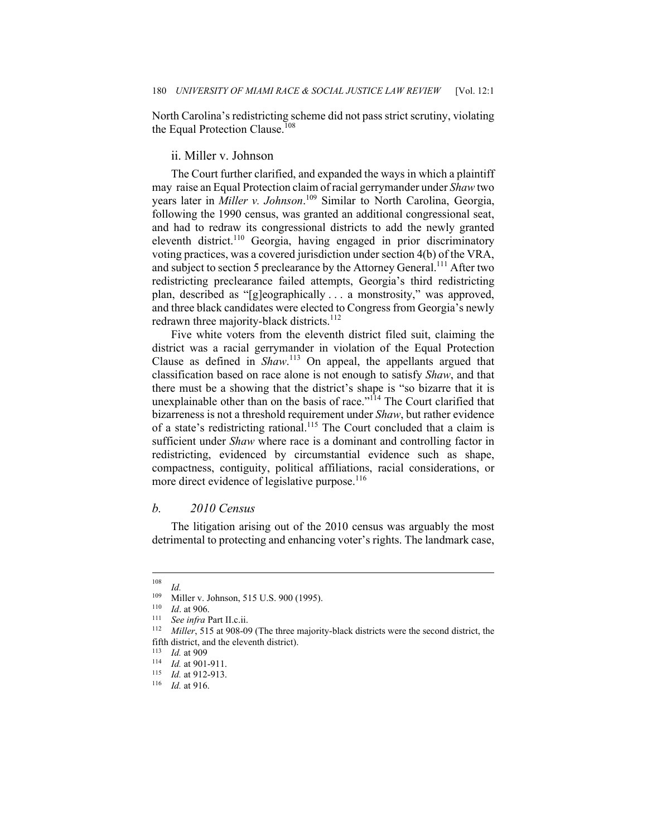North Carolina's redistricting scheme did not pass strict scrutiny, violating the Equal Protection Clause.<sup>108</sup>

# ii. Miller v. Johnson

The Court further clarified, and expanded the ways in which a plaintiff may raise an Equal Protection claim of racial gerrymander under *Shaw* two years later in *Miller v. Johnson*. <sup>109</sup> Similar to North Carolina, Georgia, following the 1990 census, was granted an additional congressional seat, and had to redraw its congressional districts to add the newly granted eleventh district.<sup>110</sup> Georgia, having engaged in prior discriminatory voting practices, was a covered jurisdiction under section 4(b) of the VRA, and subject to section 5 preclearance by the Attorney General.<sup>111</sup> After two redistricting preclearance failed attempts, Georgia's third redistricting plan, described as "[g]eographically . . . a monstrosity," was approved, and three black candidates were elected to Congress from Georgia's newly redrawn three majority-black districts.<sup>112</sup>

Five white voters from the eleventh district filed suit, claiming the district was a racial gerrymander in violation of the Equal Protection Clause as defined in *Shaw*. <sup>113</sup> On appeal, the appellants argued that classification based on race alone is not enough to satisfy *Shaw*, and that there must be a showing that the district's shape is "so bizarre that it is unexplainable other than on the basis of race."<sup>114</sup> The Court clarified that bizarreness is not a threshold requirement under *Shaw*, but rather evidence of a state's redistricting rational.<sup>115</sup> The Court concluded that a claim is sufficient under *Shaw* where race is a dominant and controlling factor in redistricting, evidenced by circumstantial evidence such as shape, compactness, contiguity, political affiliations, racial considerations, or more direct evidence of legislative purpose.<sup>116</sup>

#### *b. 2010 Census*

The litigation arising out of the 2010 census was arguably the most detrimental to protecting and enhancing voter's rights. The landmark case,

 $\frac{108}{109}$  *Id.* 

<sup>109</sup> Miller v. Johnson, 515 U.S. 900 (1995).<br>
<sup>110</sup> *Id.* at 906.<br>
<sup>111</sup> See infra Part II.c.ii.<br>
<sup>112</sup> Miller, 515 at 908-09 (The three majority-black districts were the second district, the fifth district, and the eleventh district).

<sup>113</sup> *Id.* at 909<br><sup>114</sup> *Id.* at 901-911.<br><sup>115</sup> *Id.* at 912-913.<br><sup>116</sup> *Id.* at 916.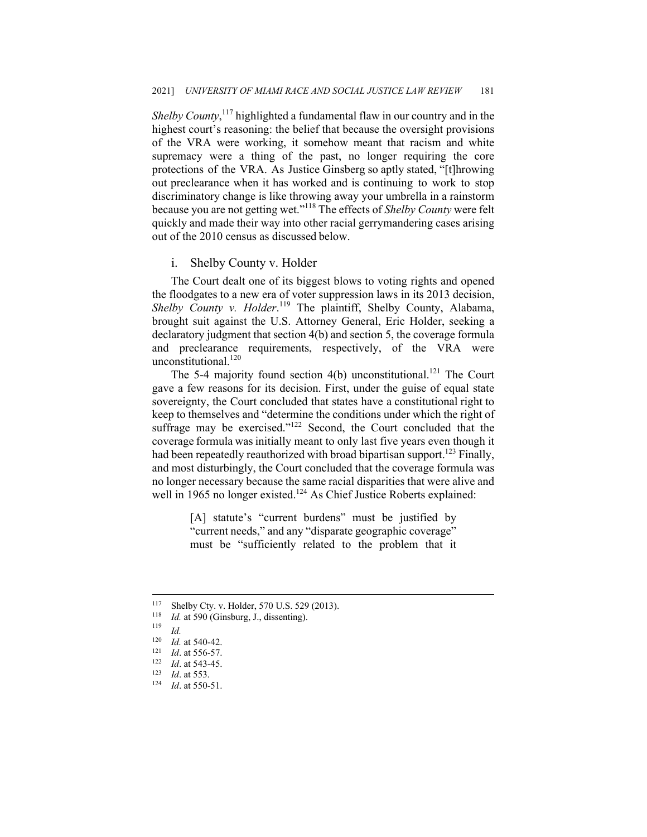*Shelby County*, <sup>117</sup> highlighted a fundamental flaw in our country and in the highest court's reasoning: the belief that because the oversight provisions of the VRA were working, it somehow meant that racism and white supremacy were a thing of the past, no longer requiring the core protections of the VRA. As Justice Ginsberg so aptly stated, "[t]hrowing out preclearance when it has worked and is continuing to work to stop discriminatory change is like throwing away your umbrella in a rainstorm because you are not getting wet."<sup>118</sup> The effects of *Shelby County* were felt quickly and made their way into other racial gerrymandering cases arising out of the 2010 census as discussed below.

# i. Shelby County v. Holder

The Court dealt one of its biggest blows to voting rights and opened the floodgates to a new era of voter suppression laws in its 2013 decision, *Shelby County v. Holder*. <sup>119</sup> The plaintiff, Shelby County, Alabama, brought suit against the U.S. Attorney General, Eric Holder, seeking a declaratory judgment that section 4(b) and section 5, the coverage formula and preclearance requirements, respectively, of the VRA were unconstitutional.<sup>120</sup>

The 5-4 majority found section  $4(b)$  unconstitutional.<sup>121</sup> The Court gave a few reasons for its decision. First, under the guise of equal state sovereignty, the Court concluded that states have a constitutional right to keep to themselves and "determine the conditions under which the right of suffrage may be exercised."<sup>122</sup> Second, the Court concluded that the coverage formula was initially meant to only last five years even though it had been repeatedly reauthorized with broad bipartisan support.<sup>123</sup> Finally, and most disturbingly, the Court concluded that the coverage formula was no longer necessary because the same racial disparities that were alive and well in 1965 no longer existed.<sup>124</sup> As Chief Justice Roberts explained:

> [A] statute's "current burdens" must be justified by "current needs," and any "disparate geographic coverage" must be "sufficiently related to the problem that it

<sup>117</sup> Shelby Cty. v. Holder, 570 U.S. 529 (2013). 118 *Id.* at 590 (Ginsburg, J., dissenting). 119 *Id.*

<sup>120</sup> *Id.* at 540-42.<br>
121 *Id.* at 556-57.<br>
122 *Id.* at 543-45.<br>
124 *Id.* at 553.<br>
124 *Id.* at 550-51.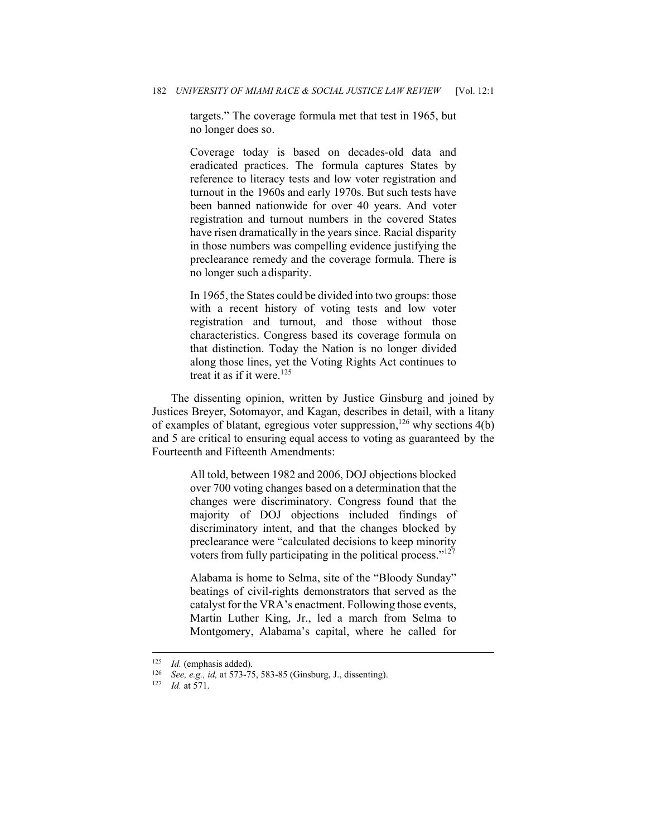targets." The coverage formula met that test in 1965, but no longer does so.

Coverage today is based on decades-old data and eradicated practices. The formula captures States by reference to literacy tests and low voter registration and turnout in the 1960s and early 1970s. But such tests have been banned nationwide for over 40 years. And voter registration and turnout numbers in the covered States have risen dramatically in the years since. Racial disparity in those numbers was compelling evidence justifying the preclearance remedy and the coverage formula. There is no longer such a disparity.

In 1965, the States could be divided into two groups: those with a recent history of voting tests and low voter registration and turnout, and those without those characteristics. Congress based its coverage formula on that distinction. Today the Nation is no longer divided along those lines, yet the Voting Rights Act continues to treat it as if it were.<sup>125</sup>

The dissenting opinion, written by Justice Ginsburg and joined by Justices Breyer, Sotomayor, and Kagan, describes in detail, with a litany of examples of blatant, egregious voter suppression,<sup>126</sup> why sections  $4(b)$ and 5 are critical to ensuring equal access to voting as guaranteed by the Fourteenth and Fifteenth Amendments:

> All told, between 1982 and 2006, DOJ objections blocked over 700 voting changes based on a determination that the changes were discriminatory. Congress found that the majority of DOJ objections included findings of discriminatory intent, and that the changes blocked by preclearance were "calculated decisions to keep minority voters from fully participating in the political process."<sup>127</sup>

> Alabama is home to Selma, site of the "Bloody Sunday" beatings of civil-rights demonstrators that served as the catalyst for the VRA's enactment. Following those events, Martin Luther King, Jr., led a march from Selma to Montgomery, Alabama's capital, where he called for

<sup>125</sup> *Id.* (emphasis added). 126 *See, e.g., id,* at 573-75, 583-85 (Ginsburg, J., dissenting). 127 *Id* at 571.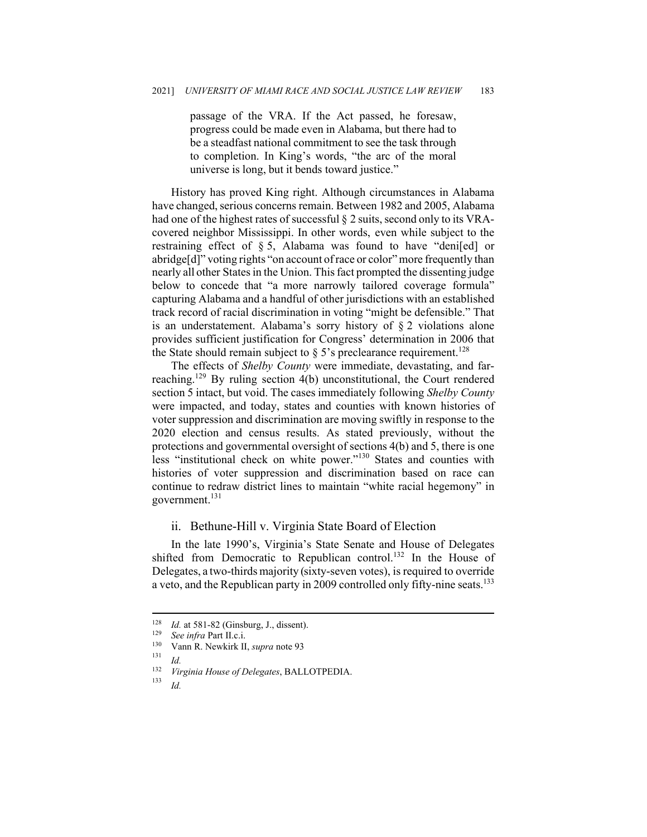passage of the VRA. If the Act passed, he foresaw, progress could be made even in Alabama, but there had to be a steadfast national commitment to see the task through to completion. In King's words, "the arc of the moral universe is long, but it bends toward justice."

History has proved King right. Although circumstances in Alabama have changed, serious concerns remain. Between 1982 and 2005, Alabama had one of the highest rates of successful § 2 suits, second only to its VRAcovered neighbor Mississippi. In other words, even while subject to the restraining effect of § 5, Alabama was found to have "deni[ed] or abridge[d]" voting rights "on account of race or color" more frequently than nearly all other States in the Union. This fact prompted the dissenting judge below to concede that "a more narrowly tailored coverage formula" capturing Alabama and a handful of other jurisdictions with an established track record of racial discrimination in voting "might be defensible." That is an understatement. Alabama's sorry history of § 2 violations alone provides sufficient justification for Congress' determination in 2006 that the State should remain subject to  $\S$  5's preclearance requirement.<sup>128</sup>

The effects of *Shelby County* were immediate, devastating, and farreaching.129 By ruling section 4(b) unconstitutional, the Court rendered section 5 intact, but void. The cases immediately following *Shelby County*  were impacted, and today, states and counties with known histories of voter suppression and discrimination are moving swiftly in response to the 2020 election and census results. As stated previously, without the protections and governmental oversight of sections 4(b) and 5, there is one less "institutional check on white power."<sup>130</sup> States and counties with histories of voter suppression and discrimination based on race can continue to redraw district lines to maintain "white racial hegemony" in government. $^{131}$ 

#### ii. Bethune-Hill v. Virginia State Board of Election

In the late 1990's, Virginia's State Senate and House of Delegates shifted from Democratic to Republican control.<sup>132</sup> In the House of Delegates, a two-thirds majority (sixty-seven votes), is required to override a veto, and the Republican party in 2009 controlled only fifty-nine seats.<sup>133</sup>

<sup>128</sup> *Id.* at 581-82 (Ginsburg, J., dissent).<br>
<sup>129</sup> *See infra* Part II.c.i.<br>
<sup>130</sup> Vann R. Newkirk II, *supra* note 93<br>
<sup>131</sup> *Id.*<br> *Virginia House of Delegates* PALI

<sup>132</sup> *Virginia House of Delegates*, BALLOTPEDIA. 133 *Id.*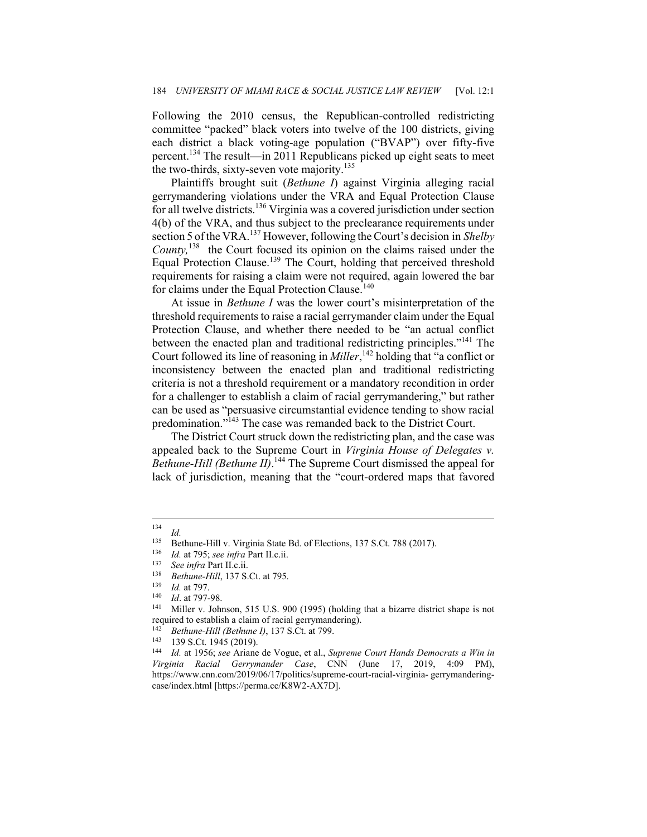Following the 2010 census, the Republican-controlled redistricting committee "packed" black voters into twelve of the 100 districts, giving each district a black voting-age population ("BVAP") over fifty-five percent.<sup>134</sup> The result—in 2011 Republicans picked up eight seats to meet the two-thirds, sixty-seven vote majority. $135$ 

Plaintiffs brought suit (*Bethune I*) against Virginia alleging racial gerrymandering violations under the VRA and Equal Protection Clause for all twelve districts.<sup>136</sup> Virginia was a covered jurisdiction under section 4(b) of the VRA, and thus subject to the preclearance requirements under section 5 of the VRA.<sup>137</sup> However, following the Court's decision in *Shelby County,*<sup>138</sup> the Court focused its opinion on the claims raised under the Equal Protection Clause.139 The Court, holding that perceived threshold requirements for raising a claim were not required, again lowered the bar for claims under the Equal Protection Clause.<sup>140</sup>

At issue in *Bethune I* was the lower court's misinterpretation of the threshold requirements to raise a racial gerrymander claim under the Equal Protection Clause, and whether there needed to be "an actual conflict between the enacted plan and traditional redistricting principles."<sup>141</sup> The Court followed its line of reasoning in *Miller*, <sup>142</sup> holding that "a conflict or inconsistency between the enacted plan and traditional redistricting criteria is not a threshold requirement or a mandatory recondition in order for a challenger to establish a claim of racial gerrymandering," but rather can be used as "persuasive circumstantial evidence tending to show racial predomination."<sup>143</sup> The case was remanded back to the District Court.

The District Court struck down the redistricting plan, and the case was appealed back to the Supreme Court in *Virginia House of Delegates v. Bethune-Hill (Bethune II)*.<sup>144</sup> The Supreme Court dismissed the appeal for lack of jurisdiction, meaning that the "court-ordered maps that favored

 $\frac{134}{135}$  *Id.* 

<sup>&</sup>lt;sup>135</sup> Bethune-Hill v. Virginia State Bd. of Elections, 137 S.Ct. 788 (2017).<br>
<sup>136</sup> *Id.* at 795; see infra Part II.c.ii.<br>
<sup>137</sup> See infra Part II.c.ii.<br> *138 Bethune-Hill*, 137 S.Ct. at 795.<br>
<sup>139</sup> *Id.* at 797.<br>
<sup>140</sup>

required to establish a claim of racial gerrymandering).<br>
<sup>142</sup> *Bethune-Hill (Bethune I)*, 137 S.Ct. at 799.<br>
<sup>143</sup> 139 S.Ct. 1945 (2019).<br>
<sup>144</sup> *Id.* at 1956; *see* Ariane de Vogue, et al., *Supreme Court Hands Democrat* 

*Virginia Racial Gerrymander Case*, CNN (June 17, 2019, 4:09 PM), https://www.cnn.com/2019/06/17/politics/supreme-court-racial-virginia- gerrymanderingcase/index.html [https://perma.cc/K8W2-AX7D].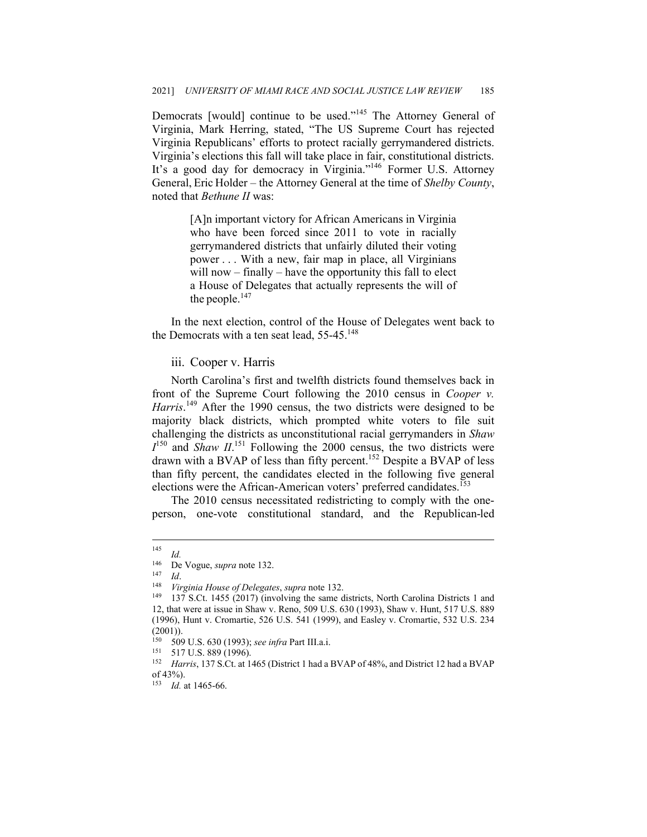Democrats [would] continue to be used."<sup>145</sup> The Attorney General of Virginia, Mark Herring, stated, "The US Supreme Court has rejected Virginia Republicans' efforts to protect racially gerrymandered districts. Virginia's elections this fall will take place in fair, constitutional districts. It's a good day for democracy in Virginia."<sup>146</sup> Former U.S. Attorney General, Eric Holder – the Attorney General at the time of *Shelby County*, noted that *Bethune II* was:

> [A]n important victory for African Americans in Virginia who have been forced since 2011 to vote in racially gerrymandered districts that unfairly diluted their voting power . . . With a new, fair map in place, all Virginians will now – finally – have the opportunity this fall to elect a House of Delegates that actually represents the will of the people. $147$

In the next election, control of the House of Delegates went back to the Democrats with a ten seat lead,  $55-45.^{148}$ 

# iii. Cooper v. Harris

North Carolina's first and twelfth districts found themselves back in front of the Supreme Court following the 2010 census in *Cooper v.*  Harris.<sup>149</sup> After the 1990 census, the two districts were designed to be majority black districts, which prompted white voters to file suit challenging the districts as unconstitutional racial gerrymanders in *Shaw*   $I<sup>150</sup>$  and *Shaw II*.<sup>151</sup> Following the 2000 census, the two districts were drawn with a BVAP of less than fifty percent.<sup>152</sup> Despite a BVAP of less than fifty percent, the candidates elected in the following five general elections were the African-American voters' preferred candidates.<sup>153</sup>

The 2010 census necessitated redistricting to comply with the oneperson, one-vote constitutional standard, and the Republican-led

 $\frac{145}{146}$  *Id.* 

<sup>146</sup> De Vogue, *supra* note 132.<br>
147 *Id.*<br>
148 *Virginia House of Delegates, <i>supra* note 132.<br>
149 137 S.Ct. 1455 (2017) (involving the same districts, North Carolina Districts 1 and 12, that were at issue in Shaw v. Reno, 509 U.S. 630 (1993), Shaw v. Hunt, 517 U.S. 889 (1996), Hunt v. Cromartie, 526 U.S. 541 (1999), and Easley v. Cromartie, 532 U.S. 234 (2001)).

<sup>150 509</sup> U.S. 630 (1993); *see infra* Part III.a.i.<br>
<sup>151</sup> 517 U.S. 889 (1996).<br>
<sup>152</sup> Harris, 137 S.Ct. at 1465 (District 1 had a BVAP of 48%, and District 12 had a BVAP of 43%).

<sup>153</sup> *Id.* at 1465-66.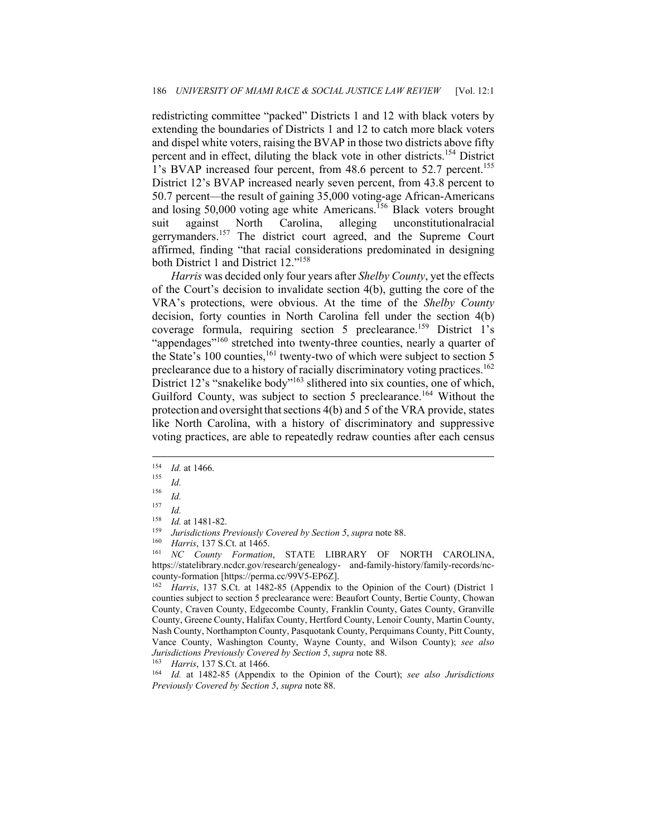redistricting committee "packed" Districts 1 and 12 with black voters by extending the boundaries of Districts 1 and 12 to catch more black voters and dispel white voters, raising the BVAP in those two districts above fifty percent and in effect, diluting the black vote in other districts.<sup>154</sup> District 1's BVAP increased four percent, from 48.6 percent to 52.7 percent.<sup>155</sup> District 12's BVAP increased nearly seven percent, from 43.8 percent to 50.7 percent—the result of gaining 35,000 voting-age African-Americans and losing 50,000 voting age white Americans.<sup>156</sup> Black voters brought suit against North Carolina, alleging unconstitutionalracial gerrymanders.<sup>157</sup> The district court agreed, and the Supreme Court affirmed, finding "that racial considerations predominated in designing both District 1 and District 12."158

*Harris* was decided only four years after *Shelby County*, yet the effects of the Court's decision to invalidate section 4(b), gutting the core of the VRA's protections, were obvious. At the time of the *Shelby County*  decision, forty counties in North Carolina fell under the section 4(b) coverage formula, requiring section 5 preclearance.<sup>159</sup> District 1's "appendages"<sup>160</sup> stretched into twenty-three counties, nearly a quarter of the State's 100 counties,<sup>161</sup> twenty-two of which were subject to section 5 preclearance due to a history of racially discriminatory voting practices.<sup>162</sup> District 12's "snakelike body"<sup>163</sup> slithered into six counties, one of which, Guilford County, was subject to section 5 preclearance.<sup>164</sup> Without the protection and oversight that sections 4(b) and 5 of the VRA provide, states like North Carolina, with a history of discriminatory and suppressive voting practices, are able to repeatedly redraw counties after each census

<sup>162</sup> *Harris*, 137 S.Ct. at 1482-85 (Appendix to the Opinion of the Court) (District 1 counties subject to section 5 preclearance were: Beaufort County, Bertie County, Chowan County, Craven County, Edgecombe County, Franklin County, Gates County, Granville County, Greene County, Halifax County, Hertford County, Lenoir County, Martin County, Nash County, Northampton County, Pasquotank County, Perquimans County, Pitt County, Vance County, Washington County, Wayne County, and Wilson County); *see also Jurisdictions Previously Covered by Section 5, supra* note 88.<br><sup>163</sup> Harris, 137 S.Ct. at 1466.<br><sup>164</sup> Id. at 1482-85 (Appendix to the Opinion of the Court); *see also Jurisdictions* 

*Previously Covered by Section 5*, *supra* note 88.

<sup>154</sup> *Id.* at 1466.<br><sup>155</sup> *Id.*<br><sup>156</sup> - 1

 $\frac{156}{157}$  *Id.* 

 $\frac{157}{158}$  *Id.* 

<sup>158</sup> *Id.* at 1481-82.<br>
159 *Jurisdictions Previously Covered by Section 5, supra* note 88.<br>
160 *Harris*, 137 S.Ct. at 1465.<br>
161 *NC County Formation*, STATE LIBRARY OF NORTH CAROLINA, https://statelibrary.ncdcr.gov/research/genealogy- and-family-history/family-records/nccounty-formation [https://perma.cc/99V5-EP6Z].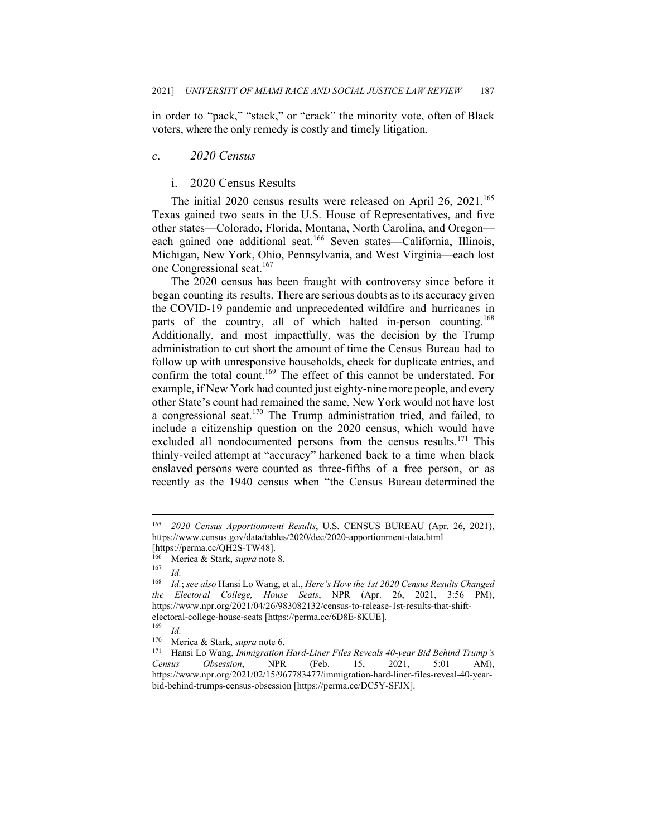in order to "pack," "stack," or "crack" the minority vote, often of Black voters, where the only remedy is costly and timely litigation.

#### *c. 2020 Census*

## i. 2020 Census Results

The initial  $2020$  census results were released on April 26,  $2021$ .<sup>165</sup> Texas gained two seats in the U.S. House of Representatives, and five other states—Colorado, Florida, Montana, North Carolina, and Oregon each gained one additional seat.<sup>166</sup> Seven states—California, Illinois, Michigan, New York, Ohio, Pennsylvania, and West Virginia—each lost one Congressional seat.<sup>167</sup>

The 2020 census has been fraught with controversy since before it began counting its results. There are serious doubts as to its accuracy given the COVID-19 pandemic and unprecedented wildfire and hurricanes in parts of the country, all of which halted in-person counting.<sup>168</sup> Additionally, and most impactfully, was the decision by the Trump administration to cut short the amount of time the Census Bureau had to follow up with unresponsive households, check for duplicate entries, and confirm the total count.<sup>169</sup> The effect of this cannot be understated. For example, if New York had counted just eighty-nine more people, and every other State's count had remained the same, New York would not have lost a congressional seat.<sup>170</sup> The Trump administration tried, and failed, to include a citizenship question on the 2020 census, which would have excluded all nondocumented persons from the census results.<sup>171</sup> This thinly-veiled attempt at "accuracy" harkened back to a time when black enslaved persons were counted as three-fifths of a free person, or as recently as the 1940 census when "the Census Bureau determined the

<sup>165</sup> *2020 Census Apportionment Results*, U.S. CENSUS BUREAU (Apr. 26, 2021), https://www.census.gov/data/tables/2020/dec/2020-apportionment-data.html [https://perma.cc/QH2S-TW48].

<sup>166</sup> Merica & Stark, *supra* note 8. 167 *Id.*

<sup>168</sup> *Id.*; *see also* Hansi Lo Wang, et al., *Here's How the 1st 2020 Census Results Changed the Electoral College, House Seats*, NPR (Apr. 26, 2021, 3:56 PM), https://www.npr.org/2021/04/26/983082132/census-to-release-1st-results-that-shiftelectoral-college-house-seats [https://perma.cc/6D8E-8KUE].

 $\frac{169}{170}$  *Id.* 

<sup>170</sup> Merica & Stark, *supra* note 6. 171 Hansi Lo Wang, *Immigration Hard-Liner Files Reveals 40-year Bid Behind Trump's Census Obsession*, NPR (Feb. 15, 2021, 5:01 AM), https://www.npr.org/2021/02/15/967783477/immigration-hard-liner-files-reveal-40-yearbid-behind-trumps-census-obsession [https://perma.cc/DC5Y-SFJX].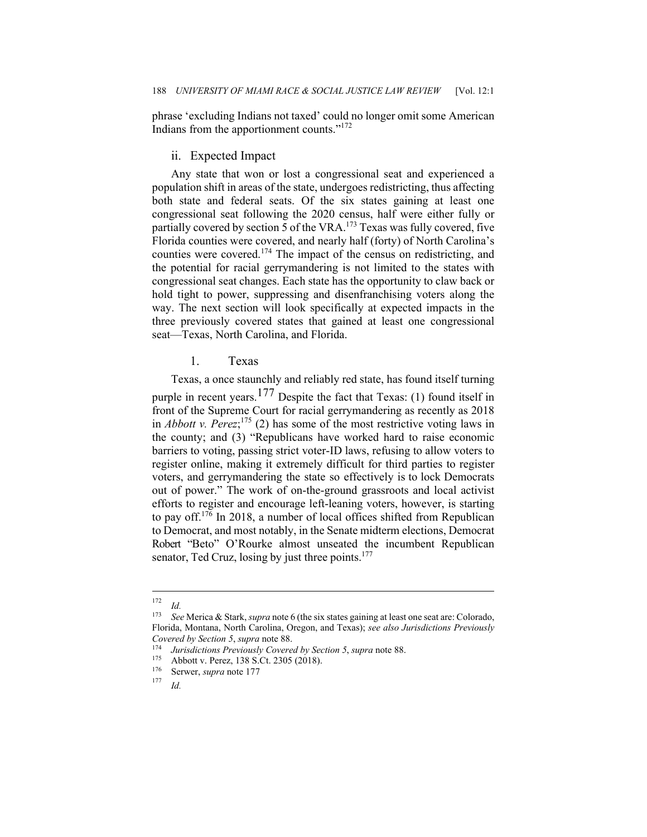phrase 'excluding Indians not taxed' could no longer omit some American Indians from the apportionment counts."<sup>172</sup>

#### ii. Expected Impact

Any state that won or lost a congressional seat and experienced a population shift in areas of the state, undergoes redistricting, thus affecting both state and federal seats. Of the six states gaining at least one congressional seat following the 2020 census, half were either fully or partially covered by section 5 of the VRA.<sup>173</sup> Texas was fully covered, five Florida counties were covered, and nearly half (forty) of North Carolina's counties were covered.<sup>174</sup> The impact of the census on redistricting, and the potential for racial gerrymandering is not limited to the states with congressional seat changes. Each state has the opportunity to claw back or hold tight to power, suppressing and disenfranchising voters along the way. The next section will look specifically at expected impacts in the three previously covered states that gained at least one congressional seat—Texas, North Carolina, and Florida.

# 1. Texas

Texas, a once staunchly and reliably red state, has found itself turning purple in recent years.<sup>177</sup> Despite the fact that Texas: (1) found itself in front of the Supreme Court for racial gerrymandering as recently as 2018 in *Abbott v. Perez*;<sup>175</sup> (2) has some of the most restrictive voting laws in the county; and (3) "Republicans have worked hard to raise economic barriers to voting, passing strict voter-ID laws, refusing to allow voters to register online, making it extremely difficult for third parties to register voters, and gerrymandering the state so effectively is to lock Democrats out of power." The work of on-the-ground grassroots and local activist efforts to register and encourage left-leaning voters, however, is starting to pay off.176 In 2018, a number of local offices shifted from Republican to Democrat, and most notably, in the Senate midterm elections, Democrat Robert "Beto" O'Rourke almost unseated the incumbent Republican senator, Ted Cruz, losing by just three points. $177$ 

 $\frac{172}{173}$  *Id.* 

<sup>173</sup> *See* Merica & Stark, *supra* note 6 (the six states gaining at least one seat are: Colorado, Florida, Montana, North Carolina, Oregon, and Texas); *see also Jurisdictions Previously Covered by Section 5*, *supra* note 88.<br>
<sup>174</sup> *Jurisdictions Previously Covered by Section 5*, *supra* note 88.<br>
<sup>175</sup> Abbott v. Perez, 138 S.Ct. 2305 (2018).<br>
<sup>176</sup> Serwer, *supra* note 177<br> *Id.*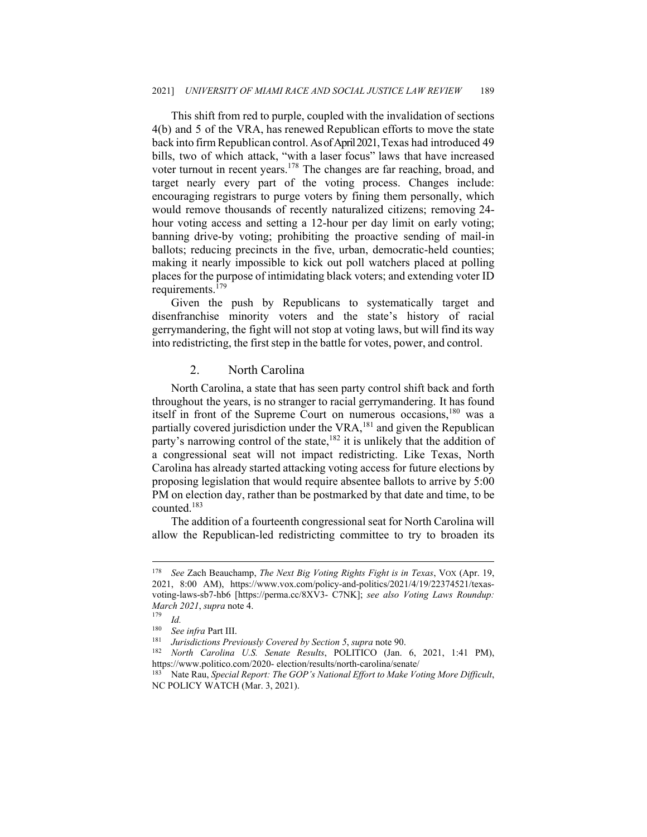This shift from red to purple, coupled with the invalidation of sections 4(b) and 5 of the VRA, has renewed Republican efforts to move the state back into firm Republican control. As of April 2021, Texas had introduced 49 bills, two of which attack, "with a laser focus" laws that have increased voter turnout in recent years.<sup>178</sup> The changes are far reaching, broad, and target nearly every part of the voting process. Changes include: encouraging registrars to purge voters by fining them personally, which would remove thousands of recently naturalized citizens; removing 24 hour voting access and setting a 12-hour per day limit on early voting; banning drive-by voting; prohibiting the proactive sending of mail-in ballots; reducing precincts in the five, urban, democratic-held counties; making it nearly impossible to kick out poll watchers placed at polling places for the purpose of intimidating black voters; and extending voter ID requirements.<sup>179</sup>

Given the push by Republicans to systematically target and disenfranchise minority voters and the state's history of racial gerrymandering, the fight will not stop at voting laws, but will find its way into redistricting, the first step in the battle for votes, power, and control.

# 2. North Carolina

North Carolina, a state that has seen party control shift back and forth throughout the years, is no stranger to racial gerrymandering. It has found itself in front of the Supreme Court on numerous occasions, $180$  was a partially covered jurisdiction under the VRA,<sup>181</sup> and given the Republican party's narrowing control of the state,<sup>182</sup> it is unlikely that the addition of a congressional seat will not impact redistricting. Like Texas, North Carolina has already started attacking voting access for future elections by proposing legislation that would require absentee ballots to arrive by 5:00 PM on election day, rather than be postmarked by that date and time, to be counted.183

The addition of a fourteenth congressional seat for North Carolina will allow the Republican-led redistricting committee to try to broaden its

<sup>178</sup> *See* Zach Beauchamp, *The Next Big Voting Rights Fight is in Texas*, VOX (Apr. 19, 2021, 8:00 AM), https://www.vox.com/policy-and-politics/2021/4/19/22374521/texasvoting-laws-sb7-hb6 [https://perma.cc/8XV3- C7NK]; *see also Voting Laws Roundup: March 2021*, *supra* note 4.<br><sup>179</sup> *Id.*<br><sup>180</sup> *Societies* Part III

<sup>&</sup>lt;sup>180</sup> See infra Part III.<br><sup>181</sup> Jurisdictions Previously Covered by Section 5, supra note 90.<br><sup>182</sup> North Carolina U.S. Senate Results, POLITICO (Jan. 6, 2021, 1:41 PM), https://www.politico.com/2020- election/results/north-carolina/senate/ 183 Nate Rau, *Special Report: The GOP's National Effort to Make Voting More Difficult*,

NC POLICY WATCH (Mar. 3, 2021).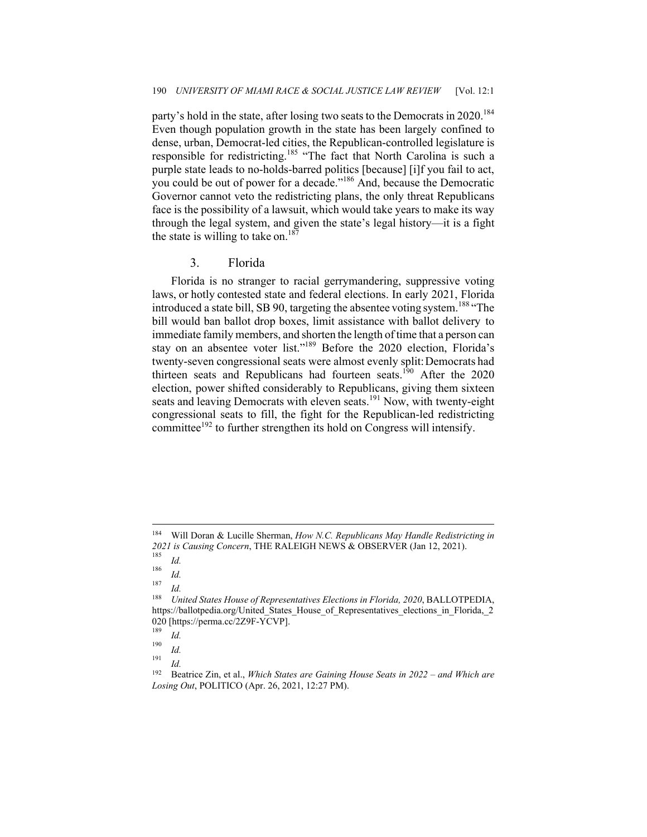party's hold in the state, after losing two seats to the Democrats in 2020.<sup>184</sup> Even though population growth in the state has been largely confined to dense, urban, Democrat-led cities, the Republican-controlled legislature is responsible for redistricting.<sup>185</sup> "The fact that North Carolina is such a purple state leads to no-holds-barred politics [because] [i]f you fail to act, you could be out of power for a decade."186 And, because the Democratic Governor cannot veto the redistricting plans, the only threat Republicans face is the possibility of a lawsuit, which would take years to make its way through the legal system, and given the state's legal history—it is a fight the state is willing to take on.<sup>187</sup>

# 3. Florida

Florida is no stranger to racial gerrymandering, suppressive voting laws, or hotly contested state and federal elections. In early 2021, Florida introduced a state bill, SB 90, targeting the absentee voting system.<sup>188</sup> "The bill would ban ballot drop boxes, limit assistance with ballot delivery to immediate family members, and shorten the length of time that a person can stay on an absentee voter list."189 Before the 2020 election, Florida's twenty-seven congressional seats were almost evenly split: Democrats had thirteen seats and Republicans had fourteen seats.<sup>190</sup> After the 2020 election, power shifted considerably to Republicans, giving them sixteen seats and leaving Democrats with eleven seats.<sup>191</sup> Now, with twenty-eight congressional seats to fill, the fight for the Republican-led redistricting committee<sup>192</sup> to further strengthen its hold on Congress will intensify.

<sup>184</sup> Will Doran & Lucille Sherman, *How N.C. Republicans May Handle Redistricting in*  2021 is Causing Concern, THE RALEIGH NEWS & OBSERVER (Jan 12, 2021).<br><sup>185</sup> Id.

 $\frac{180}{187}$  *Id.* 

 $\frac{1}{188}$  *Id.* 

<sup>188</sup> *United States House of Representatives Elections in Florida, 2020*, BALLOTPEDIA, https://ballotpedia.org/United States House of Representatives elections in Florida, 2 020 [https://perma.cc/2Z9F-YCVP].<br><sup>189</sup>

 $\frac{189}{190}$  *Id.* 

 $\frac{190}{191}$  *Id.* 

 $\frac{191}{192}$  *Id.* 

<sup>192</sup> Beatrice Zin, et al., *Which States are Gaining House Seats in 2022 – and Which are Losing Out*, POLITICO (Apr. 26, 2021, 12:27 PM).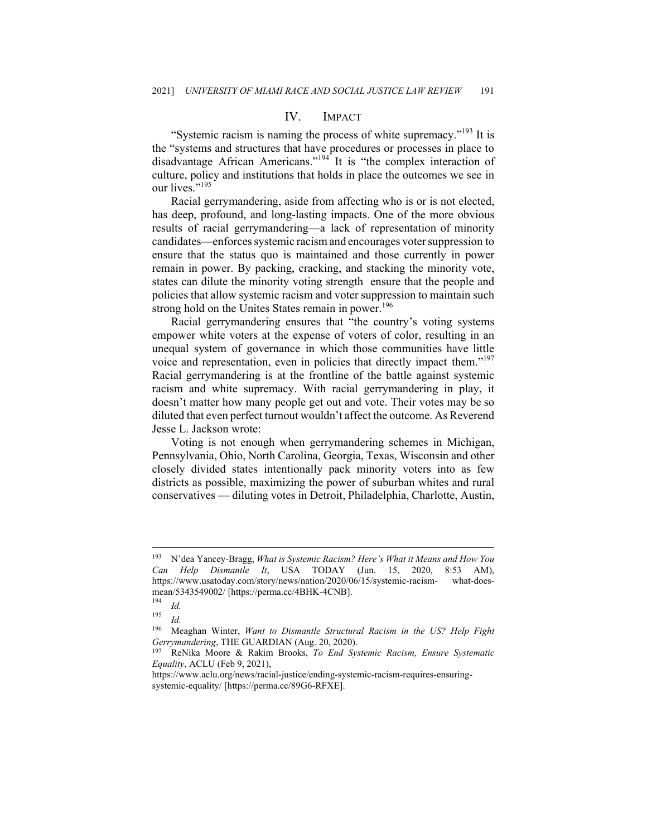# IV. IMPACT

"Systemic racism is naming the process of white supremacy."<sup>193</sup> It is the "systems and structures that have procedures or processes in place to disadvantage African Americans."<sup>194</sup> It is "the complex interaction of culture, policy and institutions that holds in place the outcomes we see in our lives."<sup>195</sup>

Racial gerrymandering, aside from affecting who is or is not elected, has deep, profound, and long-lasting impacts. One of the more obvious results of racial gerrymandering—a lack of representation of minority candidates—enforces systemic racism and encourages voter suppression to ensure that the status quo is maintained and those currently in power remain in power. By packing, cracking, and stacking the minority vote, states can dilute the minority voting strength ensure that the people and policies that allow systemic racism and voter suppression to maintain such strong hold on the Unites States remain in power.<sup>196</sup>

Racial gerrymandering ensures that "the country's voting systems empower white voters at the expense of voters of color, resulting in an unequal system of governance in which those communities have little voice and representation, even in policies that directly impact them."<sup>197</sup> Racial gerrymandering is at the frontline of the battle against systemic racism and white supremacy. With racial gerrymandering in play, it doesn't matter how many people get out and vote. Their votes may be so diluted that even perfect turnout wouldn't affect the outcome. As Reverend Jesse L. Jackson wrote:

Voting is not enough when gerrymandering schemes in Michigan, Pennsylvania, Ohio, North Carolina, Georgia, Texas, Wisconsin and other closely divided states intentionally pack minority voters into as few districts as possible, maximizing the power of suburban whites and rural conservatives — diluting votes in Detroit, Philadelphia, Charlotte, Austin,

<sup>193</sup> N'dea Yancey-Bragg, *What is Systemic Racism? Here's What it Means and How You Can Help Dismantle It*, USA TODAY (Jun. 15, 2020, 8:53 AM), https://www.usatoday.com/story/news/nation/2020/06/15/systemic-racism- what-doesmean/5343549002/ [https://perma.cc/4BHK-4CNB].

 $\frac{194}{195}$  *Id.* 

*Id.* 

<sup>196</sup> Meaghan Winter, *Want to Dismantle Structural Racism in the US? Help Fight Gerrymandering*, THE GUARDIAN (Aug. 20, 2020).<br><sup>197</sup> ReNika Moore & Rakim Brooks, *To End Systemic Racism, Ensure Systematic* 

*Equality*, ACLU (Feb 9, 2021),

https://www.aclu.org/news/racial-justice/ending-systemic-racism-requires-ensuringsystemic-equality/ [https://perma.cc/89G6-RFXE].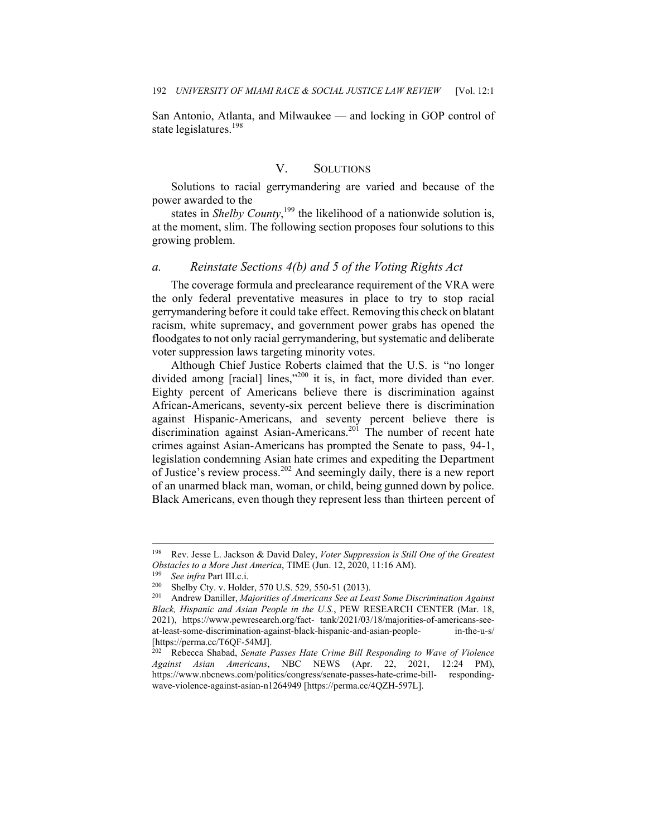San Antonio, Atlanta, and Milwaukee — and locking in GOP control of state legislatures.<sup>198</sup>

# V. SOLUTIONS

Solutions to racial gerrymandering are varied and because of the power awarded to the

states in *Shelby County*,<sup>199</sup> the likelihood of a nationwide solution is, at the moment, slim. The following section proposes four solutions to this growing problem.

## *a. Reinstate Sections 4(b) and 5 of the Voting Rights Act*

The coverage formula and preclearance requirement of the VRA were the only federal preventative measures in place to try to stop racial gerrymandering before it could take effect. Removing this check on blatant racism, white supremacy, and government power grabs has opened the floodgates to not only racial gerrymandering, but systematic and deliberate voter suppression laws targeting minority votes.

Although Chief Justice Roberts claimed that the U.S. is "no longer divided among [racial] lines,"<sup>200</sup> it is, in fact, more divided than ever. Eighty percent of Americans believe there is discrimination against African-Americans, seventy-six percent believe there is discrimination against Hispanic-Americans, and seventy percent believe there is discrimination against Asian-Americans.<sup>201</sup> The number of recent hate crimes against Asian-Americans has prompted the Senate to pass, 94-1, legislation condemning Asian hate crimes and expediting the Department of Justice's review process.<sup>202</sup> And seemingly daily, there is a new report of an unarmed black man, woman, or child, being gunned down by police. Black Americans, even though they represent less than thirteen percent of

<sup>198</sup> Rev. Jesse L. Jackson & David Daley, *Voter Suppression is Still One of the Greatest*  Obstacles to a More Just America, TIME (Jun. 12, 2020, 11:16 AM).<br>
<sup>199</sup> See infra Part III.c.i.<br>
<sup>200</sup> Shelby Cty. v. Holder, 570 U.S. 529, 550-51 (2013).<br>
<sup>201</sup> Andrew Daniller, *Majorities of Americans See at Least Some* 

*Black, Hispanic and Asian People in the U.S.*, PEW RESEARCH CENTER (Mar. 18, 2021), https://www.pewresearch.org/fact- tank/2021/03/18/majorities-of-americans-seeat-least-some-discrimination-against-black-hispanic-and-asian-people- in-the-u-s/ [https://perma.cc/T6QF-54MJ].

<sup>202</sup> Rebecca Shabad, *Senate Passes Hate Crime Bill Responding to Wave of Violence Against Asian Americans*, NBC NEWS (Apr. 22, 2021, 12:24 PM), https://www.nbcnews.com/politics/congress/senate-passes-hate-crime-bill- respondingwave-violence-against-asian-n1264949 [https://perma.cc/4QZH-597L].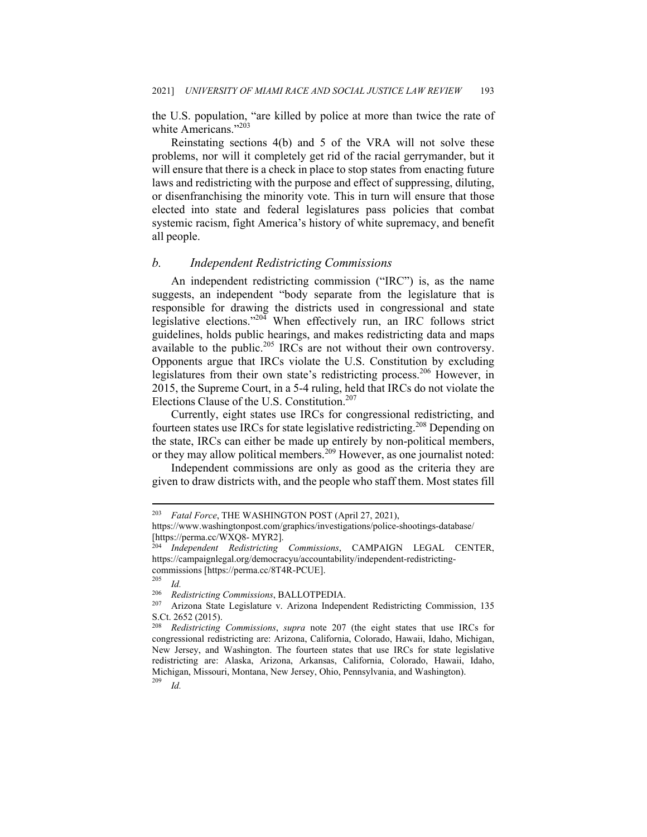the U.S. population, "are killed by police at more than twice the rate of white Americans."<sup>203</sup>

Reinstating sections 4(b) and 5 of the VRA will not solve these problems, nor will it completely get rid of the racial gerrymander, but it will ensure that there is a check in place to stop states from enacting future laws and redistricting with the purpose and effect of suppressing, diluting, or disenfranchising the minority vote. This in turn will ensure that those elected into state and federal legislatures pass policies that combat systemic racism, fight America's history of white supremacy, and benefit all people.

#### *b. Independent Redistricting Commissions*

An independent redistricting commission ("IRC") is, as the name suggests, an independent "body separate from the legislature that is responsible for drawing the districts used in congressional and state legislative elections."204 When effectively run, an IRC follows strict guidelines, holds public hearings, and makes redistricting data and maps available to the public.<sup>205</sup> IRCs are not without their own controversy. Opponents argue that IRCs violate the U.S. Constitution by excluding legislatures from their own state's redistricting process.<sup>206</sup> However, in 2015, the Supreme Court, in a 5-4 ruling, held that IRCs do not violate the Elections Clause of the U.S. Constitution.<sup>207</sup>

Currently, eight states use IRCs for congressional redistricting, and fourteen states use IRCs for state legislative redistricting.<sup>208</sup> Depending on the state, IRCs can either be made up entirely by non-political members, or they may allow political members.<sup>209</sup> However, as one journalist noted:

Independent commissions are only as good as the criteria they are given to draw districts with, and the people who staff them. Most states fill

 $\frac{1}{206}$  *Id.* 

<sup>203</sup> *Fatal Force*, THE WASHINGTON POST (April 27, 2021),

https://www.washingtonpost.com/graphics/investigations/police-shootings-database/ [https://perma.cc/WXQ8- MYR2].

<sup>204</sup> *Independent Redistricting Commissions*, CAMPAIGN LEGAL CENTER, https://campaignlegal.org/democracyu/accountability/independent-redistrictingcommissions [https://perma.cc/8T4R-PCUE].

<sup>206</sup> *Redistricting Commissions*, BALLOTPEDIA. 207 Arizona State Legislature v. Arizona Independent Redistricting Commission, 135 S.Ct. 2652 (2015).<br><sup>208</sup> Redistricting

<sup>208</sup> *Redistricting Commissions*, *supra* note 207 (the eight states that use IRCs for congressional redistricting are: Arizona, California, Colorado, Hawaii, Idaho, Michigan, New Jersey, and Washington. The fourteen states that use IRCs for state legislative redistricting are: Alaska, Arizona, Arkansas, California, Colorado, Hawaii, Idaho, Michigan, Missouri, Montana, New Jersey, Ohio, Pennsylvania, and Washington). 209 *Id.*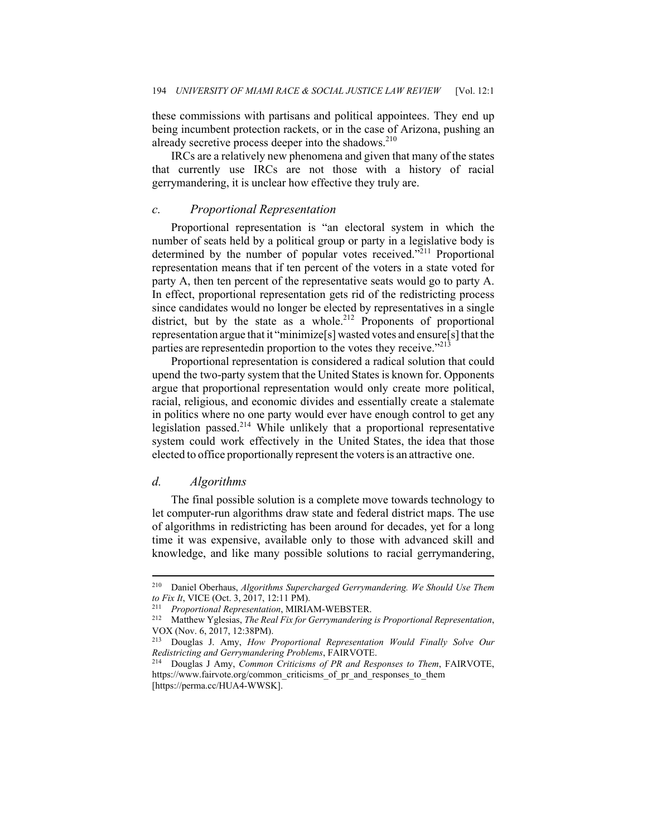these commissions with partisans and political appointees. They end up being incumbent protection rackets, or in the case of Arizona, pushing an already secretive process deeper into the shadows. $2^{10}$ 

IRCs are a relatively new phenomena and given that many of the states that currently use IRCs are not those with a history of racial gerrymandering, it is unclear how effective they truly are.

#### *c. Proportional Representation*

Proportional representation is "an electoral system in which the number of seats held by a political group or party in a legislative body is determined by the number of popular votes received. $^{211}$  Proportional representation means that if ten percent of the voters in a state voted for party A, then ten percent of the representative seats would go to party A. In effect, proportional representation gets rid of the redistricting process since candidates would no longer be elected by representatives in a single district, but by the state as a whole.<sup>212</sup> Proponents of proportional representation argue that it "minimize[s] wasted votes and ensure[s] that the parties are representedin proportion to the votes they receive."<sup>213</sup>

Proportional representation is considered a radical solution that could upend the two-party system that the United States is known for. Opponents argue that proportional representation would only create more political, racial, religious, and economic divides and essentially create a stalemate in politics where no one party would ever have enough control to get any legislation passed.<sup>214</sup> While unlikely that a proportional representative system could work effectively in the United States, the idea that those elected to office proportionally represent the voters is an attractive one.

## *d. Algorithms*

The final possible solution is a complete move towards technology to let computer-run algorithms draw state and federal district maps. The use of algorithms in redistricting has been around for decades, yet for a long time it was expensive, available only to those with advanced skill and knowledge, and like many possible solutions to racial gerrymandering,

<sup>210</sup> Daniel Oberhaus, *Algorithms Supercharged Gerrymandering. We Should Use Them to Fix It*, VICE (Oct. 3, 2017, 12:11 PM). 211 *Proportional Representation*, MIRIAM-WEBSTER. 212 Matthew Yglesias, *The Real Fix for Gerrymandering is Proportional Representation*,

VOX (Nov. 6, 2017, 12:38PM).<br><sup>213</sup> Douglas J. Amy. *How I* 

<sup>213</sup> Douglas J. Amy, *How Proportional Representation Would Finally Solve Our Redistricting and Gerrymandering Problems*, FAIRVOTE. 214 Douglas J Amy, *Common Criticisms of PR and Responses to Them*, FAIRVOTE,

https://www.fairvote.org/common\_criticisms\_of\_pr\_and\_responses\_to\_them [https://perma.cc/HUA4-WWSK].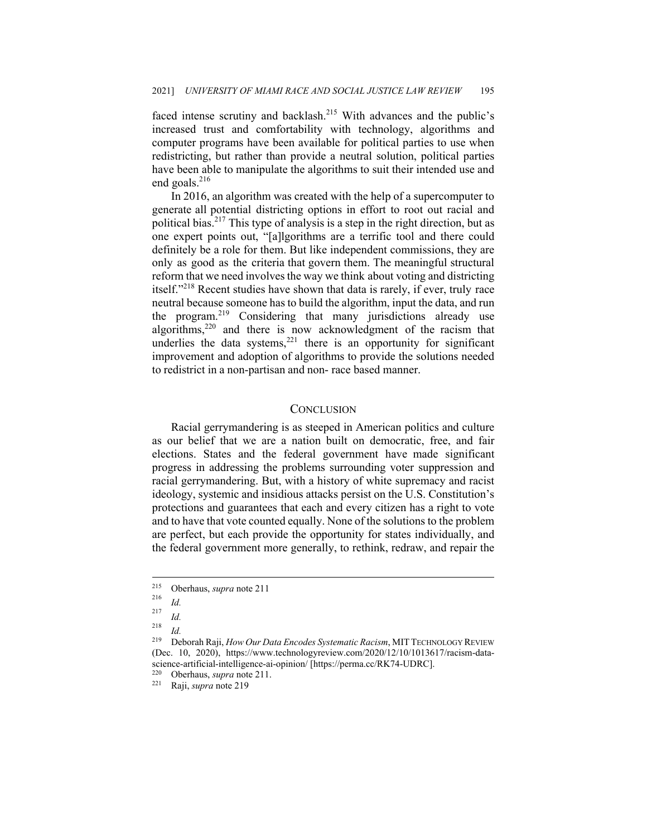faced intense scrutiny and backlash.<sup>215</sup> With advances and the public's increased trust and comfortability with technology, algorithms and computer programs have been available for political parties to use when redistricting, but rather than provide a neutral solution, political parties have been able to manipulate the algorithms to suit their intended use and end goals.<sup>216</sup>

In 2016, an algorithm was created with the help of a supercomputer to generate all potential districting options in effort to root out racial and political bias.<sup>217</sup> This type of analysis is a step in the right direction, but as one expert points out, "[a]lgorithms are a terrific tool and there could definitely be a role for them. But like independent commissions, they are only as good as the criteria that govern them. The meaningful structural reform that we need involves the way we think about voting and districting itself."<sup>218</sup> Recent studies have shown that data is rarely, if ever, truly race neutral because someone has to build the algorithm, input the data, and run the program.<sup>219</sup> Considering that many jurisdictions already use algorithms,<sup>220</sup> and there is now acknowledgment of the racism that underlies the data systems, $221$  there is an opportunity for significant improvement and adoption of algorithms to provide the solutions needed to redistrict in a non-partisan and non- race based manner.

#### **CONCLUSION**

Racial gerrymandering is as steeped in American politics and culture as our belief that we are a nation built on democratic, free, and fair elections. States and the federal government have made significant progress in addressing the problems surrounding voter suppression and racial gerrymandering. But, with a history of white supremacy and racist ideology, systemic and insidious attacks persist on the U.S. Constitution's protections and guarantees that each and every citizen has a right to vote and to have that vote counted equally. None of the solutions to the problem are perfect, but each provide the opportunity for states individually, and the federal government more generally, to rethink, redraw, and repair the

<sup>215</sup> Oberhaus, *supra* note 211 216 *Id.*

 $\frac{217}{218}$  *Id.* 

 $\frac{218}{219}$  *Id.* 219 Deborah Raji, *How Our Data Encodes Systematic Racism*, MITTECHNOLOGY REVIEW (Dec. 10, 2020), https://www.technologyreview.com/2020/12/10/1013617/racism-datascience-artificial-intelligence-ai-opinion/ [https://perma.cc/RK74-UDRC].<br><sup>220</sup> Oberhaus *sunta* note 211

<sup>220</sup> Oberhaus, *supra* note 211. 221 Raji, *supra* note 219